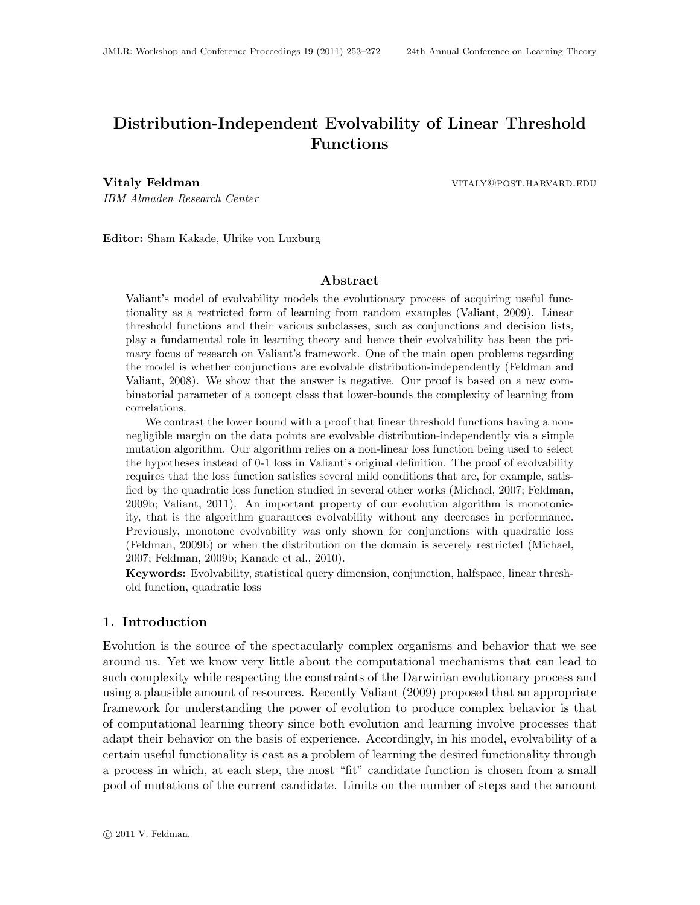# <span id="page-0-0"></span>Distribution-Independent Evolvability of Linear Threshold Functions

**Vitaly Feldman** vitaly **Feldman** vitaly **Properties and Service Contract Automobile Contract Automobile Properties** 

IBM Almaden Research Center

Editor: Sham Kakade, Ulrike von Luxburg

# Abstract

Valiant's model of evolvability models the evolutionary process of acquiring useful functionality as a restricted form of learning from random examples [\(Valiant, 2009\)](#page-19-1). Linear threshold functions and their various subclasses, such as conjunctions and decision lists, play a fundamental role in learning theory and hence their evolvability has been the primary focus of research on Valiant's framework. One of the main open problems regarding the model is whether conjunctions are evolvable distribution-independently [\(Feldman and](#page-18-0) [Valiant, 2008\)](#page-18-0). We show that the answer is negative. Our proof is based on a new combinatorial parameter of a concept class that lower-bounds the complexity of learning from correlations.

We contrast the lower bound with a proof that linear threshold functions having a nonnegligible margin on the data points are evolvable distribution-independently via a simple mutation algorithm. Our algorithm relies on a non-linear loss function being used to select the hypotheses instead of 0-1 loss in Valiant's original definition. The proof of evolvability requires that the loss function satisfies several mild conditions that are, for example, satisfied by the quadratic loss function studied in several other works [\(Michael, 2007;](#page-19-2) [Feldman,](#page-18-1) [2009b;](#page-18-1) [Valiant, 2011\)](#page-19-3). An important property of our evolution algorithm is monotonicity, that is the algorithm guarantees evolvability without any decreases in performance. Previously, monotone evolvability was only shown for conjunctions with quadratic loss [\(Feldman, 2009b\)](#page-18-1) or when the distribution on the domain is severely restricted [\(Michael,](#page-19-2) [2007;](#page-19-2) [Feldman, 2009b;](#page-18-1) [Kanade et al., 2010\)](#page-18-2).

Keywords: Evolvability, statistical query dimension, conjunction, halfspace, linear threshold function, quadratic loss

# 1. Introduction

Evolution is the source of the spectacularly complex organisms and behavior that we see around us. Yet we know very little about the computational mechanisms that can lead to such complexity while respecting the constraints of the Darwinian evolutionary process and using a plausible amount of resources. Recently [Valiant](#page-19-1) [\(2009\)](#page-19-1) proposed that an appropriate framework for understanding the power of evolution to produce complex behavior is that of computational learning theory since both evolution and learning involve processes that adapt their behavior on the basis of experience. Accordingly, in his model, evolvability of a certain useful functionality is cast as a problem of learning the desired functionality through a process in which, at each step, the most "fit" candidate function is chosen from a small pool of mutations of the current candidate. Limits on the number of steps and the amount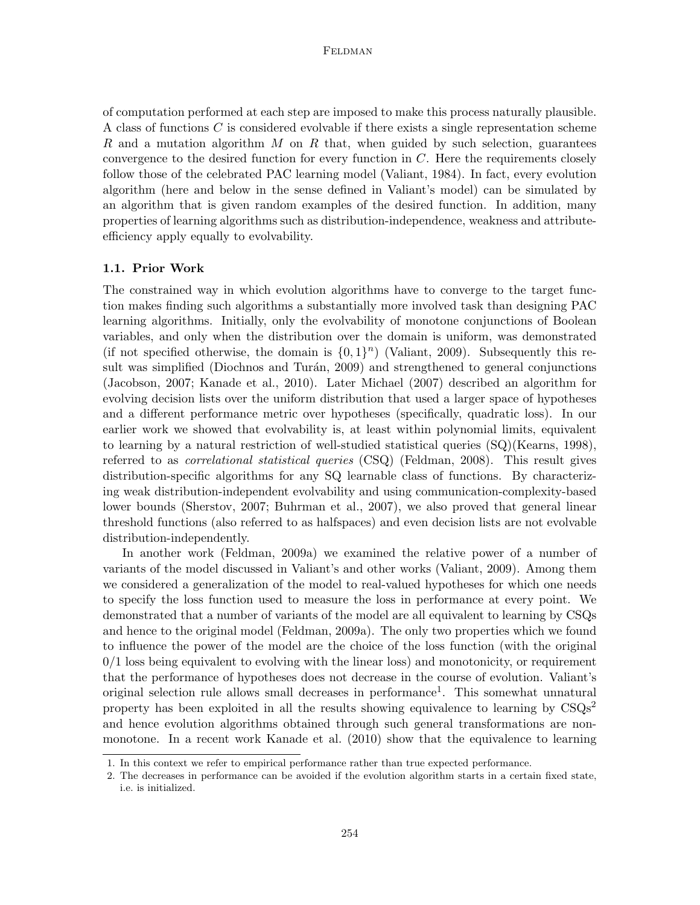of computation performed at each step are imposed to make this process naturally plausible. A class of functions C is considered evolvable if there exists a single representation scheme R and a mutation algorithm  $M$  on  $R$  that, when guided by such selection, guarantees convergence to the desired function for every function in  $C$ . Here the requirements closely follow those of the celebrated PAC learning model [\(Valiant, 1984\)](#page-19-4). In fact, every evolution algorithm (here and below in the sense defined in Valiant's model) can be simulated by an algorithm that is given random examples of the desired function. In addition, many properties of learning algorithms such as distribution-independence, weakness and attributeefficiency apply equally to evolvability.

#### 1.1. Prior Work

The constrained way in which evolution algorithms have to converge to the target function makes finding such algorithms a substantially more involved task than designing PAC learning algorithms. Initially, only the evolvability of monotone conjunctions of Boolean variables, and only when the distribution over the domain is uniform, was demonstrated (if not specified otherwise, the domain is  $\{0,1\}^n$ ) [\(Valiant, 2009\)](#page-19-1). Subsequently this result was simplified (Diochnos and Turán, 2009) and strengthened to general conjunctions [\(Jacobson, 2007;](#page-18-3) [Kanade et al., 2010\)](#page-18-2). Later [Michael](#page-19-2) [\(2007\)](#page-19-2) described an algorithm for evolving decision lists over the uniform distribution that used a larger space of hypotheses and a different performance metric over hypotheses (specifically, quadratic loss). In our earlier work we showed that evolvability is, at least within polynomial limits, equivalent to learning by a natural restriction of well-studied statistical queries (SQ)[\(Kearns, 1998\)](#page-18-4), referred to as correlational statistical queries (CSQ) [\(Feldman, 2008\)](#page-18-5). This result gives distribution-specific algorithms for any SQ learnable class of functions. By characterizing weak distribution-independent evolvability and using communication-complexity-based lower bounds [\(Sherstov, 2007;](#page-19-5) [Buhrman et al., 2007\)](#page-17-1), we also proved that general linear threshold functions (also referred to as halfspaces) and even decision lists are not evolvable distribution-independently.

In another work [\(Feldman, 2009a\)](#page-18-6) we examined the relative power of a number of variants of the model discussed in Valiant's and other works [\(Valiant, 2009\)](#page-19-1). Among them we considered a generalization of the model to real-valued hypotheses for which one needs to specify the loss function used to measure the loss in performance at every point. We demonstrated that a number of variants of the model are all equivalent to learning by CSQs and hence to the original model [\(Feldman, 2009a\)](#page-18-6). The only two properties which we found to influence the power of the model are the choice of the loss function (with the original  $0/1$  loss being equivalent to evolving with the linear loss) and monotonicity, or requirement that the performance of hypotheses does not decrease in the course of evolution. Valiant's original selection rule allows small decreases in performance<sup>[1](#page-1-0)</sup>. This somewhat unnatural property has been exploited in all the results showing equivalence to learning by  $\text{CSQs}^2$  $\text{CSQs}^2$ and hence evolution algorithms obtained through such general transformations are nonmonotone. In a recent work [Kanade et al.](#page-18-2) [\(2010\)](#page-18-2) show that the equivalence to learning

<span id="page-1-0"></span><sup>1.</sup> In this context we refer to empirical performance rather than true expected performance.

<span id="page-1-1"></span><sup>2.</sup> The decreases in performance can be avoided if the evolution algorithm starts in a certain fixed state, i.e. is initialized.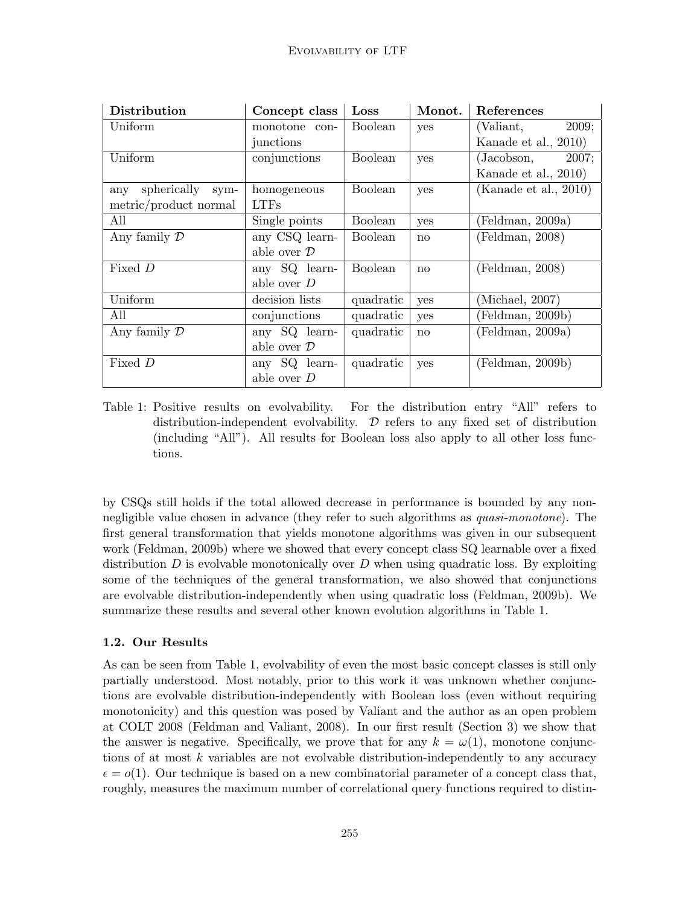| Distribution            | Concept class          | Loss           | Monot.       | References               |
|-------------------------|------------------------|----------------|--------------|--------------------------|
| Uniform                 | monotone con-          | <b>Boolean</b> | yes          | 2009;<br>(Valiant,       |
|                         | junctions              |                |              | Kanade et al., 2010)     |
| Uniform                 | conjunctions           | <b>Boolean</b> | yes          | (Jacobson, 2007;         |
|                         |                        |                |              | Kanade et al., 2010)     |
| spherically sym-<br>anv | homogeneous            | <b>Boolean</b> | yes          | (Kanade et al., $2010$ ) |
| metric/product normal   | <b>LTFs</b>            |                |              |                          |
| All                     | Single points          | <b>Boolean</b> | yes          | (Feldman, 2009a)         |
| Any family $\mathcal D$ | any CSQ learn-         | <b>Boolean</b> | $\mathbf{n}$ | ( Feldman, 2008)         |
|                         | able over $\mathcal D$ |                |              |                          |
| Fixed D                 | any SQ learn-          | <b>Boolean</b> | no           | ( Feldman, 2008)         |
|                         | able over D            |                |              |                          |
| Uniform                 | decision lists         | quadratic      | yes          | (Michael, 2007)          |
| All                     | conjunctions           | quadratic      | yes          | (Feldman, 2009b)         |
| Any family $\mathcal D$ | any SQ learn-          | quadratic      | no           | ( Feldman, 2009a)        |
|                         | able over $\mathcal D$ |                |              |                          |
| Fixed D                 | any SQ learn-          | quadratic      | yes          | ( Feldman, 2009b)        |
|                         | able over D            |                |              |                          |

<span id="page-2-0"></span>Table 1: Positive results on evolvability. For the distribution entry "All" refers to distribution-independent evolvability.  $\mathcal D$  refers to any fixed set of distribution (including "All"). All results for Boolean loss also apply to all other loss functions.

by CSQs still holds if the total allowed decrease in performance is bounded by any nonnegligible value chosen in advance (they refer to such algorithms as *quasi-monotone*). The first general transformation that yields monotone algorithms was given in our subsequent work [\(Feldman, 2009b\)](#page-18-1) where we showed that every concept class SQ learnable over a fixed distribution  $D$  is evolvable monotonically over  $D$  when using quadratic loss. By exploiting some of the techniques of the general transformation, we also showed that conjunctions are evolvable distribution-independently when using quadratic loss [\(Feldman, 2009b\)](#page-18-1). We summarize these results and several other known evolution algorithms in Table [1.](#page-2-0)

# 1.2. Our Results

As can be seen from Table [1,](#page-2-0) evolvability of even the most basic concept classes is still only partially understood. Most notably, prior to this work it was unknown whether conjunctions are evolvable distribution-independently with Boolean loss (even without requiring monotonicity) and this question was posed by Valiant and the author as an open problem at COLT 2008 [\(Feldman and Valiant, 2008\)](#page-18-0). In our first result (Section [3\)](#page-7-0) we show that the answer is negative. Specifically, we prove that for any  $k = \omega(1)$ , monotone conjunctions of at most k variables are not evolvable distribution-independently to any accuracy  $\epsilon = o(1)$ . Our technique is based on a new combinatorial parameter of a concept class that, roughly, measures the maximum number of correlational query functions required to distin-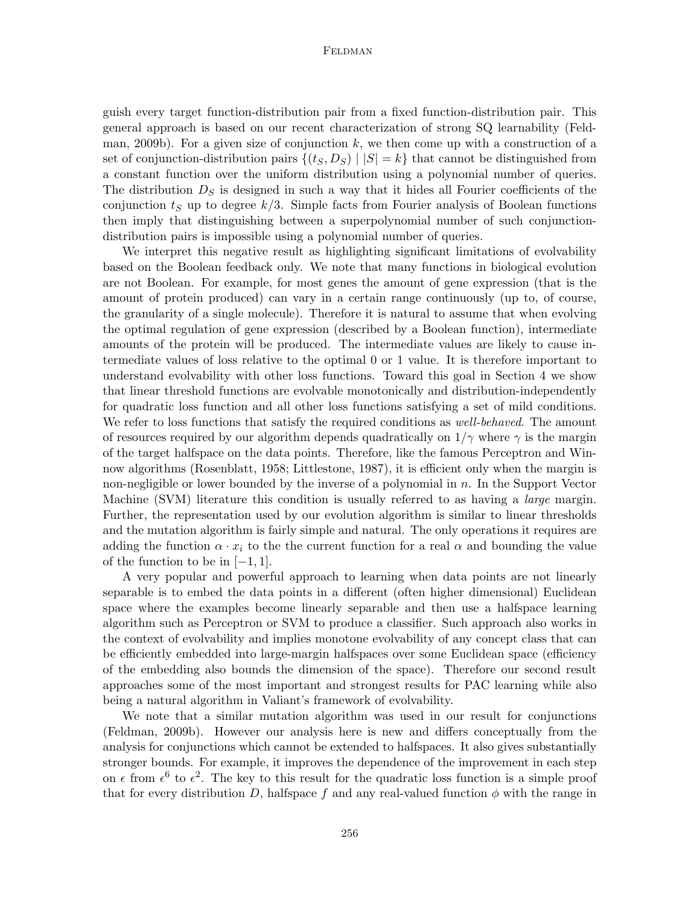guish every target function-distribution pair from a fixed function-distribution pair. This general approach is based on our recent characterization of strong SQ learnability [\(Feld](#page-18-1)[man, 2009b\)](#page-18-1). For a given size of conjunction  $k$ , we then come up with a construction of a set of conjunction-distribution pairs  $\{(ts, D_s) | |S| = k\}$  that cannot be distinguished from a constant function over the uniform distribution using a polynomial number of queries. The distribution  $D<sub>S</sub>$  is designed in such a way that it hides all Fourier coefficients of the conjunction  $t<sub>S</sub>$  up to degree  $k/3$ . Simple facts from Fourier analysis of Boolean functions then imply that distinguishing between a superpolynomial number of such conjunctiondistribution pairs is impossible using a polynomial number of queries.

We interpret this negative result as highlighting significant limitations of evolvability based on the Boolean feedback only. We note that many functions in biological evolution are not Boolean. For example, for most genes the amount of gene expression (that is the amount of protein produced) can vary in a certain range continuously (up to, of course, the granularity of a single molecule). Therefore it is natural to assume that when evolving the optimal regulation of gene expression (described by a Boolean function), intermediate amounts of the protein will be produced. The intermediate values are likely to cause intermediate values of loss relative to the optimal 0 or 1 value. It is therefore important to understand evolvability with other loss functions. Toward this goal in Section [4](#page-11-0) we show that linear threshold functions are evolvable monotonically and distribution-independently for quadratic loss function and all other loss functions satisfying a set of mild conditions. We refer to loss functions that satisfy the required conditions as *well-behaved*. The amount of resources required by our algorithm depends quadratically on  $1/\gamma$  where  $\gamma$  is the margin of the target halfspace on the data points. Therefore, like the famous Perceptron and Winnow algorithms [\(Rosenblatt, 1958;](#page-19-6) [Littlestone, 1987\)](#page-18-7), it is efficient only when the margin is non-negligible or lower bounded by the inverse of a polynomial in  $n$ . In the Support Vector Machine (SVM) literature this condition is usually referred to as having a *large* margin. Further, the representation used by our evolution algorithm is similar to linear thresholds and the mutation algorithm is fairly simple and natural. The only operations it requires are adding the function  $\alpha \cdot x_i$  to the the current function for a real  $\alpha$  and bounding the value of the function to be in  $[-1, 1]$ .

A very popular and powerful approach to learning when data points are not linearly separable is to embed the data points in a different (often higher dimensional) Euclidean space where the examples become linearly separable and then use a halfspace learning algorithm such as Perceptron or SVM to produce a classifier. Such approach also works in the context of evolvability and implies monotone evolvability of any concept class that can be efficiently embedded into large-margin halfspaces over some Euclidean space (efficiency of the embedding also bounds the dimension of the space). Therefore our second result approaches some of the most important and strongest results for PAC learning while also being a natural algorithm in Valiant's framework of evolvability.

We note that a similar mutation algorithm was used in our result for conjunctions [\(Feldman, 2009b\)](#page-18-1). However our analysis here is new and differs conceptually from the analysis for conjunctions which cannot be extended to halfspaces. It also gives substantially stronger bounds. For example, it improves the dependence of the improvement in each step on  $\epsilon$  from  $\epsilon^6$  to  $\epsilon^2$ . The key to this result for the quadratic loss function is a simple proof that for every distribution D, halfspace f and any real-valued function  $\phi$  with the range in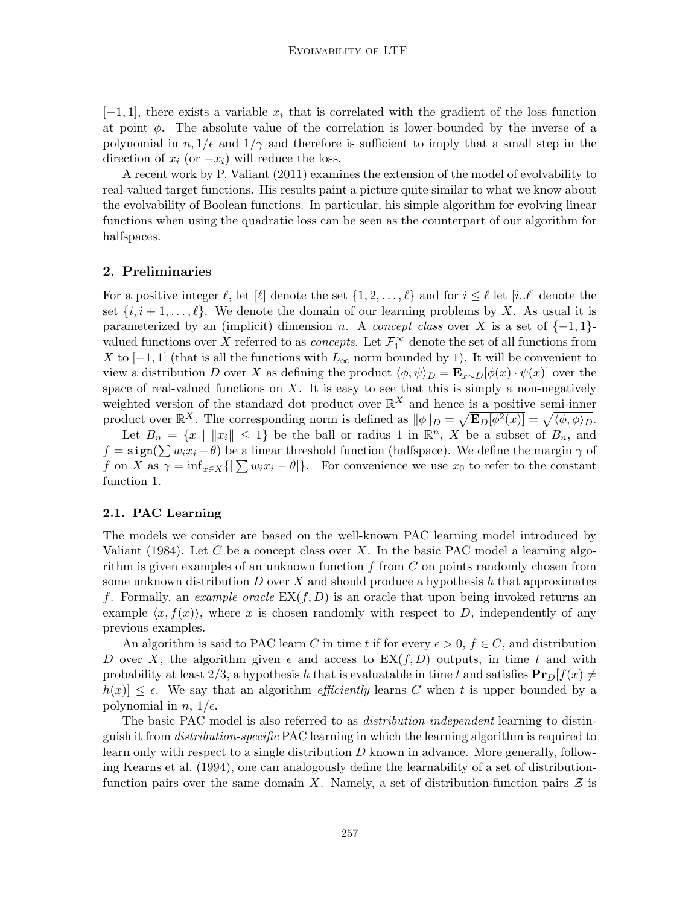$[-1, 1]$ , there exists a variable  $x_i$  that is correlated with the gradient of the loss function at point  $\phi$ . The absolute value of the correlation is lower-bounded by the inverse of a polynomial in  $n, 1/\epsilon$  and  $1/\gamma$  and therefore is sufficient to imply that a small step in the direction of  $x_i$  (or  $-x_i$ ) will reduce the loss.

A recent work by P. [Valiant](#page-19-3) [\(2011\)](#page-19-3) examines the extension of the model of evolvability to real-valued target functions. His results paint a picture quite similar to what we know about the evolvability of Boolean functions. In particular, his simple algorithm for evolving linear functions when using the quadratic loss can be seen as the counterpart of our algorithm for halfspaces.

# 2. Preliminaries

For a positive integer  $\ell$ , let  $[\ell]$  denote the set  $\{1, 2, \ldots, \ell\}$  and for  $i \leq \ell$  let  $[i..\ell]$  denote the set  $\{i, i+1, \ldots, \ell\}$ . We denote the domain of our learning problems by X. As usual it is parameterized by an (implicit) dimension n. A concept class over X is a set of  $\{-1,1\}$ valued functions over X referred to as *concepts*. Let  $\mathcal{F}_1^{\infty}$  denote the set of all functions from X to [-1, 1] (that is all the functions with  $L_{\infty}$  norm bounded by 1). It will be convenient to view a distribution D over X as defining the product  $\langle \phi, \psi \rangle_D = \mathbf{E}_{x \sim D}[\phi(x) \cdot \psi(x)]$  over the space of real-valued functions on  $X$ . It is easy to see that this is simply a non-negatively weighted version of the standard dot product over  $\mathbb{R}^X$  and hence is a positive semi-inner product over  $\mathbb{R}^X$ . The corresponding norm is defined as  $\|\phi\|_D = \sqrt{\mathbf{E}_D[\phi^2(x)]} = \sqrt{\langle \phi, \phi \rangle_D}$ .

Let  $B_n = \{x \mid ||x_i|| \leq 1\}$  be the ball or radius 1 in  $\mathbb{R}^n$ , X be a subset of  $B_n$ , and  $f = \text{sign}(\sum w_i x_i - \theta)$  be a linear threshold function (halfspace). We define the margin  $\gamma$  of f on X as  $\gamma = \inf_{x \in X} \{|\sum w_i x_i - \theta|\}.$  For convenience we use  $x_0$  to refer to the constant function 1.

# 2.1. PAC Learning

The models we consider are based on the well-known PAC learning model introduced by [Valiant](#page-19-4) [\(1984\)](#page-19-4). Let C be a concept class over X. In the basic PAC model a learning algorithm is given examples of an unknown function  $f$  from  $C$  on points randomly chosen from some unknown distribution D over X and should produce a hypothesis h that approximates f. Formally, an example oracle  $EX(f, D)$  is an oracle that upon being invoked returns an example  $\langle x, f(x) \rangle$ , where x is chosen randomly with respect to D, independently of any previous examples.

An algorithm is said to PAC learn C in time t if for every  $\epsilon > 0$ ,  $f \in C$ , and distribution D over X, the algorithm given  $\epsilon$  and access to  $EX(f, D)$  outputs, in time t and with probability at least  $2/3$ , a hypothesis h that is evaluatable in time t and satisfies  $\Pr_D[f(x) \neq 0]$  $|h(x)| \leq \epsilon$ . We say that an algorithm *efficiently* learns C when t is upper bounded by a polynomial in  $n, 1/\epsilon$ .

The basic PAC model is also referred to as *distribution-independent* learning to distinguish it from *distribution-specific* PAC learning in which the learning algorithm is required to learn only with respect to a single distribution  $D$  known in advance. More generally, following [Kearns et al.](#page-18-8) [\(1994\)](#page-18-8), one can analogously define the learnability of a set of distributionfunction pairs over the same domain X. Namely, a set of distribution-function pairs  $\mathcal Z$  is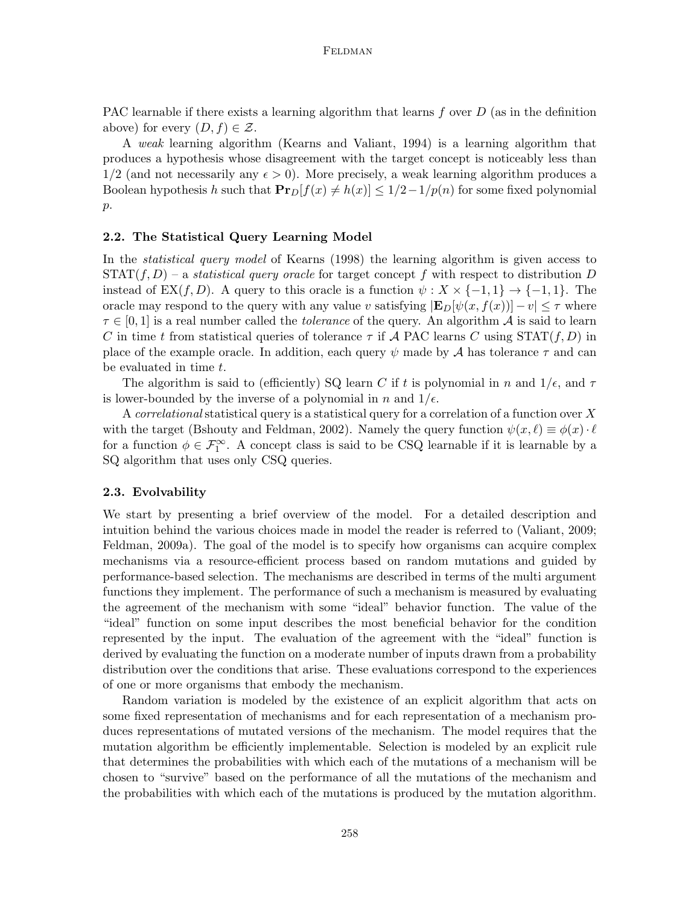PAC learnable if there exists a learning algorithm that learns  $f$  over  $D$  (as in the definition above) for every  $(D, f) \in \mathcal{Z}$ .

A weak learning algorithm [\(Kearns and Valiant, 1994\)](#page-18-9) is a learning algorithm that produces a hypothesis whose disagreement with the target concept is noticeably less than  $1/2$  (and not necessarily any  $\epsilon > 0$ ). More precisely, a weak learning algorithm produces a Boolean hypothesis h such that  $\mathbf{Pr}_D[f(x) \neq h(x)] \leq 1/2 - 1/p(n)$  for some fixed polynomial p.

#### 2.2. The Statistical Query Learning Model

In the *statistical query model* of [Kearns](#page-18-4) [\(1998\)](#page-18-4) the learning algorithm is given access to  $STAT(f, D)$  – a *statistical query oracle* for target concept f with respect to distribution D instead of EX(f, D). A query to this oracle is a function  $\psi : X \times \{-1, 1\} \rightarrow \{-1, 1\}$ . The oracle may respond to the query with any value v satisfying  $|\mathbf{E}_D[\psi(x, f(x))] - v| \leq \tau$  where  $\tau \in [0,1]$  is a real number called the *tolerance* of the query. An algorithm A is said to learn C in time t from statistical queries of tolerance  $\tau$  if A PAC learns C using  $STAT(f, D)$  in place of the example oracle. In addition, each query  $\psi$  made by A has tolerance  $\tau$  and can be evaluated in time t.

The algorithm is said to (efficiently) SQ learn C if t is polynomial in n and  $1/\epsilon$ , and  $\tau$ is lower-bounded by the inverse of a polynomial in n and  $1/\epsilon$ .

A correlational statistical query is a statistical query for a correlation of a function over X with the target [\(Bshouty and Feldman, 2002\)](#page-17-2). Namely the query function  $\psi(x, \ell) \equiv \phi(x) \cdot \ell$ for a function  $\phi \in \mathcal{F}_1^{\infty}$ . A concept class is said to be CSQ learnable if it is learnable by a SQ algorithm that uses only CSQ queries.

#### 2.3. Evolvability

We start by presenting a brief overview of the model. For a detailed description and intuition behind the various choices made in model the reader is referred to [\(Valiant, 2009;](#page-19-1) [Feldman, 2009a\)](#page-18-6). The goal of the model is to specify how organisms can acquire complex mechanisms via a resource-efficient process based on random mutations and guided by performance-based selection. The mechanisms are described in terms of the multi argument functions they implement. The performance of such a mechanism is measured by evaluating the agreement of the mechanism with some "ideal" behavior function. The value of the "ideal" function on some input describes the most beneficial behavior for the condition represented by the input. The evaluation of the agreement with the "ideal" function is derived by evaluating the function on a moderate number of inputs drawn from a probability distribution over the conditions that arise. These evaluations correspond to the experiences of one or more organisms that embody the mechanism.

Random variation is modeled by the existence of an explicit algorithm that acts on some fixed representation of mechanisms and for each representation of a mechanism produces representations of mutated versions of the mechanism. The model requires that the mutation algorithm be efficiently implementable. Selection is modeled by an explicit rule that determines the probabilities with which each of the mutations of a mechanism will be chosen to "survive" based on the performance of all the mutations of the mechanism and the probabilities with which each of the mutations is produced by the mutation algorithm.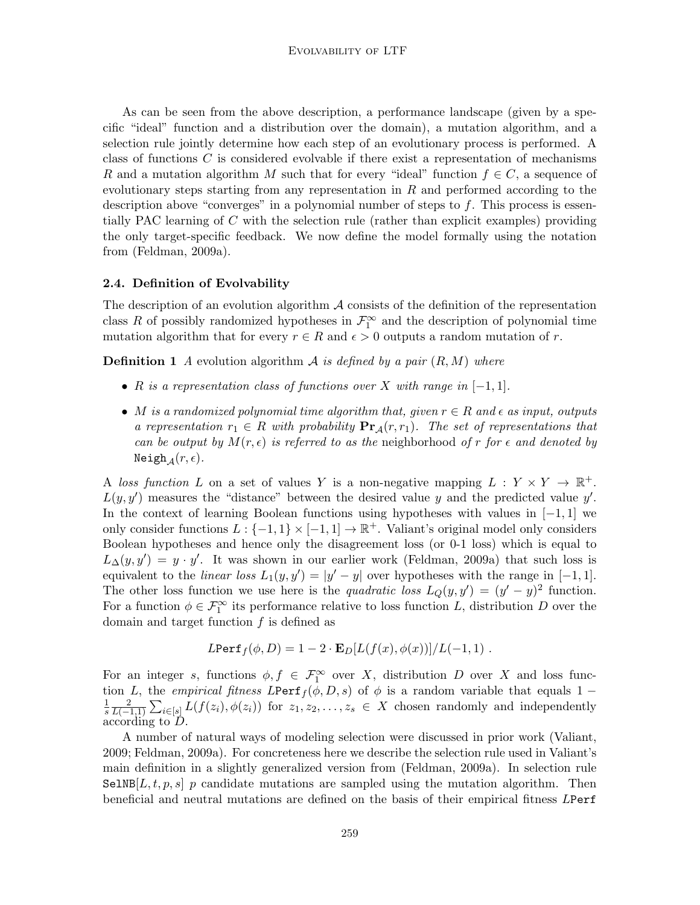As can be seen from the above description, a performance landscape (given by a specific "ideal" function and a distribution over the domain), a mutation algorithm, and a selection rule jointly determine how each step of an evolutionary process is performed. A class of functions  $C$  is considered evolvable if there exist a representation of mechanisms R and a mutation algorithm M such that for every "ideal" function  $f \in C$ , a sequence of evolutionary steps starting from any representation in  $R$  and performed according to the description above "converges" in a polynomial number of steps to f. This process is essentially PAC learning of  $C$  with the selection rule (rather than explicit examples) providing the only target-specific feedback. We now define the model formally using the notation from [\(Feldman, 2009a\)](#page-18-6).

#### 2.4. Definition of Evolvability

The description of an evolution algorithm  $A$  consists of the definition of the representation class R of possibly randomized hypotheses in  $\mathcal{F}_1^{\infty}$  and the description of polynomial time mutation algorithm that for every  $r \in R$  and  $\epsilon > 0$  outputs a random mutation of r.

**Definition 1** A evolution algorithm A is defined by a pair  $(R, M)$  where

- R is a representation class of functions over X with range in  $[-1, 1]$ .
- M is a randomized polynomial time algorithm that, given  $r \in R$  and  $\epsilon$  as input, outputs a representation  $r_1 \in R$  with probability  $\Pr_A(r,r_1)$ . The set of representations that can be output by  $M(r, \epsilon)$  is referred to as the neighborhood of r for  $\epsilon$  and denoted by Neigh<sub> $\mathcal{A}(r, \epsilon)$ .</sub>

A loss function L on a set of values Y is a non-negative mapping  $L: Y \times Y \to \mathbb{R}^+$ .  $L(y, y')$  measures the "distance" between the desired value y and the predicted value y'. In the context of learning Boolean functions using hypotheses with values in  $[-1, 1]$  we only consider functions  $L: \{-1, 1\} \times [-1, 1] \to \mathbb{R}^+$ . Valiant's original model only considers Boolean hypotheses and hence only the disagreement loss (or 0-1 loss) which is equal to  $L_{\Delta}(y, y') = y \cdot y'$ . It was shown in our earlier work [\(Feldman, 2009a\)](#page-18-6) that such loss is equivalent to the *linear loss*  $L_1(y, y') = |y' - y|$  over hypotheses with the range in [-1,1]. The other loss function we use here is the quadratic loss  $L_Q(y, y') = (y' - y)^2$  function. For a function  $\phi \in \mathcal{F}_1^{\infty}$  its performance relative to loss function L, distribution D over the domain and target function  $f$  is defined as

$$
LPerf_f(\phi, D) = 1 - 2 \cdot \mathbf{E}_D[L(f(x), \phi(x))]/L(-1, 1) .
$$

For an integer s, functions  $\phi, f \in \mathcal{F}_1^{\infty}$  over X, distribution D over X and loss function L, the empirical fitness LPerf<sub>f</sub>( $\phi$ , D, s) of  $\phi$  is a random variable that equals 1 − 1 s 2  $\frac{2}{L(-1,1)}\sum_{i\in[s]}L(f(z_i),\phi(z_i))$  for  $z_1,z_2,\ldots,z_s\in X$  chosen randomly and independently  $\alpha$ cording to  $\ddot{D}$ .

A number of natural ways of modeling selection were discussed in prior work [\(Valiant,](#page-19-1) [2009;](#page-19-1) [Feldman, 2009a\)](#page-18-6). For concreteness here we describe the selection rule used in Valiant's main definition in a slightly generalized version from [\(Feldman, 2009a\)](#page-18-6). In selection rule  $\texttt{SelNB}[L, t, p, s]$  p candidate mutations are sampled using the mutation algorithm. Then beneficial and neutral mutations are defined on the basis of their empirical fitness LPerf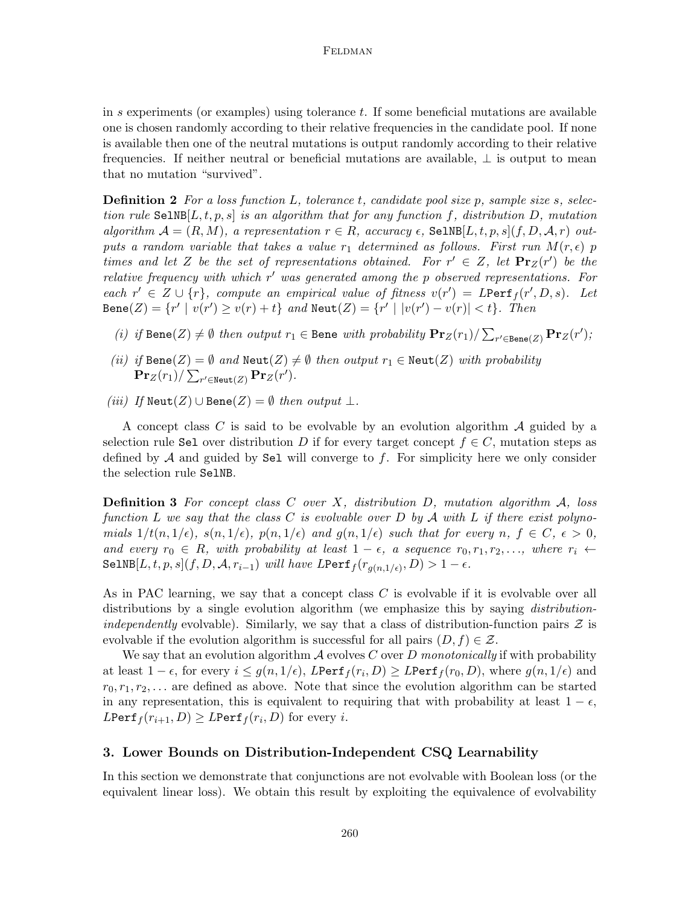in  $s$  experiments (or examples) using tolerance  $t$ . If some beneficial mutations are available one is chosen randomly according to their relative frequencies in the candidate pool. If none is available then one of the neutral mutations is output randomly according to their relative frequencies. If neither neutral or beneficial mutations are available, ⊥ is output to mean that no mutation "survived".

**Definition 2** For a loss function  $L$ , tolerance  $t$ , candidate pool size  $p$ , sample size  $s$ , selection rule  $\texttt{SelNB}[L, t, p, s]$  is an algorithm that for any function f, distribution D, mutation algorithm  $A = (R, M)$ , a representation  $r \in R$ , accuracy  $\epsilon$ , SelNB[L, t, p, s](f, D, A, r) outputs a random variable that takes a value  $r_1$  determined as follows. First run  $M(r, \epsilon)$  p times and let Z be the set of representations obtained. For  $r' \in Z$ , let  $\Pr_Z(r')$  be the relative frequency with which  $r'$  was generated among the  $p$  observed representations. For each  $r' \in Z \cup \{r\}$ , compute an empirical value of fitness  $v(r') = LPerf_f(r', D, s)$ . Let  $\mathtt{Bene}(Z) = \{r' \mid v(r') \geq v(r) + t\}$  and  $\mathtt{Neut}(Z) = \{r' \mid |v(r') - v(r)| < t\}.$  Then

- (i) if  $\text{Bene}(Z) \neq \emptyset$  then output  $r_1 \in \text{Bene with probability } \Pr_Z(r_1) / \sum_{r' \in \text{Bene}(Z)} \Pr_Z(r')$ ;
- (ii) if  $\text{Bene}(Z) = \emptyset$  and  $\text{Neut}(Z) \neq \emptyset$  then output  $r_1 \in \text{Neut}(Z)$  with probability  $\mathbf{Pr}_Z(r_1) / \sum_{r' \in \texttt{Neut}(Z)} \mathbf{Pr}_Z(r').$
- (iii) If  $\text{Neut}(Z) \cup \text{Bene}(Z) = \emptyset$  then output  $\bot$ .

A concept class C is said to be evolvable by an evolution algorithm  $\mathcal A$  guided by a selection rule Sel over distribution D if for every target concept  $f \in C$ , mutation steps as defined by  $A$  and guided by Sel will converge to  $f$ . For simplicity here we only consider the selection rule SelNB.

**Definition 3** For concept class C over X, distribution D, mutation algorithm  $\mathcal{A}$ , loss function L we say that the class C is evolvable over D by A with L if there exist polynomials  $1/t(n, 1/\epsilon)$ ,  $s(n, 1/\epsilon)$ ,  $p(n, 1/\epsilon)$  and  $g(n, 1/\epsilon)$  such that for every n,  $f \in C$ ,  $\epsilon > 0$ , and every  $r_0 \in R$ , with probability at least  $1 - \epsilon$ , a sequence  $r_0, r_1, r_2, \ldots$ , where  $r_i \leftarrow$ SelNB $[L, t, p, s](f, D, \mathcal{A}, r_{i-1})$  will have  $L$ Perf $_f(r_{g(n, 1/\epsilon)}, D) > 1 - \epsilon$ .

As in PAC learning, we say that a concept class C is evolvable if it is evolvable over all distributions by a single evolution algorithm (we emphasize this by saying *distribution*independently evolvable). Similarly, we say that a class of distribution-function pairs  $\mathcal Z$  is evolvable if the evolution algorithm is successful for all pairs  $(D, f) \in \mathcal{Z}$ .

We say that an evolution algorithm  $\mathcal A$  evolves C over D monotonically if with probability at least  $1-\epsilon$ , for every  $i \leq g(n,1/\epsilon)$ ,  $L$ Perf $f(r_i,D) \geq L$ Perf $f(r_0,D)$ , where  $g(n,1/\epsilon)$  and  $r_0, r_1, r_2, \ldots$  are defined as above. Note that since the evolution algorithm can be started in any representation, this is equivalent to requiring that with probability at least  $1 - \epsilon$ ,  $L$ Perf $_f(r_{i+1}, D) \geq L$ Perf $_f(r_i, D)$  for every  $i$ .

### <span id="page-7-0"></span>3. Lower Bounds on Distribution-Independent CSQ Learnability

In this section we demonstrate that conjunctions are not evolvable with Boolean loss (or the equivalent linear loss). We obtain this result by exploiting the equivalence of evolvability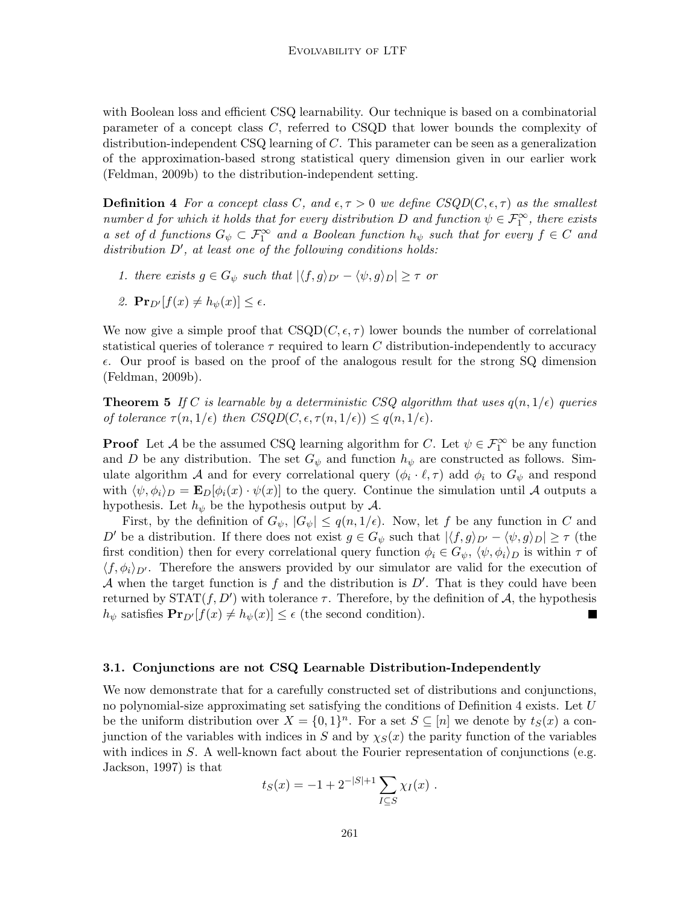with Boolean loss and efficient CSQ learnability. Our technique is based on a combinatorial parameter of a concept class C, referred to CSQD that lower bounds the complexity of distribution-independent  $\text{CSQ}$  learning of C. This parameter can be seen as a generalization of the approximation-based strong statistical query dimension given in our earlier work [\(Feldman, 2009b\)](#page-18-1) to the distribution-independent setting.

<span id="page-8-0"></span>**Definition 4** For a concept class C, and  $\epsilon, \tau > 0$  we define  $CSQD(C, \epsilon, \tau)$  as the smallest number d for which it holds that for every distribution D and function  $\psi \in \mathcal{F}_1^{\infty}$ , there exists a set of d functions  $G_{\psi} \subset \mathcal{F}_{1}^{\infty}$  and a Boolean function  $h_{\psi}$  such that for every  $f \in C$  and  $distribution D', at least one of the following conditions holds:$ 

- 1. there exists  $g \in G_{\psi}$  such that  $|\langle f, g \rangle_{D'} \langle \psi, g \rangle_{D}| \geq \tau$  or
- 2.  $\mathbf{Pr}_{D'}[f(x) \neq h_{\psi}(x)] \leq \epsilon$ .

We now give a simple proof that  $\text{CSQD}(C, \epsilon, \tau)$  lower bounds the number of correlational statistical queries of tolerance  $\tau$  required to learn C distribution-independently to accuracy  $\epsilon$ . Our proof is based on the proof of the analogous result for the strong SQ dimension [\(Feldman, 2009b\)](#page-18-1).

<span id="page-8-1"></span>**Theorem 5** If C is learnable by a deterministic CSQ algorithm that uses  $q(n, 1/\epsilon)$  queries of tolerance  $\tau(n, 1/\epsilon)$  then  $CSQD(C, \epsilon, \tau(n, 1/\epsilon)) \leq q(n, 1/\epsilon)$ .

**Proof** Let A be the assumed CSQ learning algorithm for C. Let  $\psi \in \mathcal{F}_1^{\infty}$  be any function and D be any distribution. The set  $G_{\psi}$  and function  $h_{\psi}$  are constructed as follows. Simulate algorithm A and for every correlational query  $(\phi_i \cdot \ell, \tau)$  add  $\phi_i$  to  $G_{\psi}$  and respond with  $\langle \psi, \phi_i \rangle_D = \mathbf{E}_D[\phi_i(x) \cdot \psi(x)]$  to the query. Continue the simulation until A outputs a hypothesis. Let  $h_{\psi}$  be the hypothesis output by  $\mathcal{A}$ .

First, by the definition of  $G_{\psi}$ ,  $|G_{\psi}| \leq q(n, 1/\epsilon)$ . Now, let f be any function in C and D' be a distribution. If there does not exist  $g \in G_{\psi}$  such that  $|\langle f, g \rangle_{D'} - \langle \psi, g \rangle_{D}| \ge \tau$  (the first condition) then for every correlational query function  $\phi_i \in G_{\psi}$ ,  $\langle \psi, \phi_i \rangle_D$  is within  $\tau$  of  $\langle f, \phi_i \rangle_{D}$ . Therefore the answers provided by our simulator are valid for the execution of A when the target function is  $f$  and the distribution is  $D'$ . That is they could have been returned by  $\text{STAT}(f, D')$  with tolerance  $\tau$ . Therefore, by the definition of A, the hypothesis  $h_{\psi}$  satisfies  $\mathbf{Pr}_{D'}[f(x) \neq h_{\psi}(x)] \leq \epsilon$  (the second condition).

#### 3.1. Conjunctions are not CSQ Learnable Distribution-Independently

We now demonstrate that for a carefully constructed set of distributions and conjunctions, no polynomial-size approximating set satisfying the conditions of Definition [4](#page-8-0) exists. Let  $U$ be the uniform distribution over  $X = \{0,1\}^n$ . For a set  $S \subseteq [n]$  we denote by  $t_S(x)$  a conjunction of the variables with indices in S and by  $\chi_S(x)$  the parity function of the variables with indices in  $S$ . A well-known fact about the Fourier representation of conjunctions (e.g. [Jackson, 1997\)](#page-18-10) is that

$$
t_S(x) = -1 + 2^{-|S|+1} \sum_{I \subseteq S} \chi_I(x) .
$$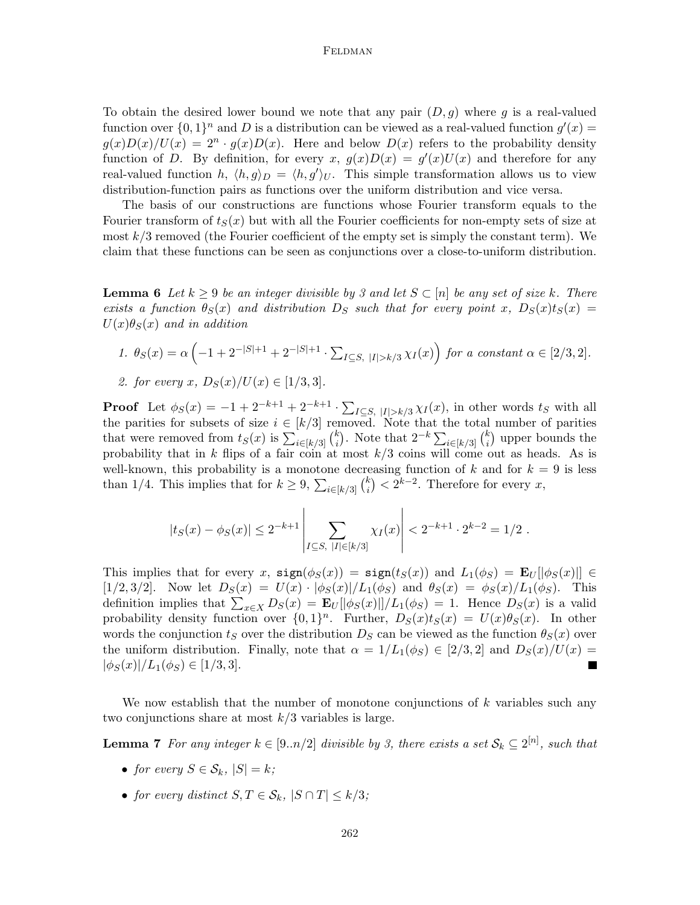To obtain the desired lower bound we note that any pair  $(D, g)$  where g is a real-valued function over  $\{0,1\}^n$  and D is a distribution can be viewed as a real-valued function  $g'(x) =$  $g(x)D(x)/U(x) = 2^n \cdot g(x)D(x)$ . Here and below  $D(x)$  refers to the probability density function of D. By definition, for every x,  $g(x)D(x) = g'(x)U(x)$  and therefore for any real-valued function h,  $\langle h, g \rangle_D = \langle h, g' \rangle_U$ . This simple transformation allows us to view distribution-function pairs as functions over the uniform distribution and vice versa.

The basis of our constructions are functions whose Fourier transform equals to the Fourier transform of  $t_S(x)$  but with all the Fourier coefficients for non-empty sets of size at most  $k/3$  removed (the Fourier coefficient of the empty set is simply the constant term). We claim that these functions can be seen as conjunctions over a close-to-uniform distribution.

<span id="page-9-1"></span>**Lemma 6** Let  $k \geq 9$  be an integer divisible by 3 and let  $S \subset [n]$  be any set of size k. There exists a function  $\theta_S(x)$  and distribution  $D_S$  such that for every point x,  $D_S(x)t_S(x)$  =  $U(x)\theta_S(x)$  and in addition

1. 
$$
\theta_S(x) = \alpha \left( -1 + 2^{-|S|+1} + 2^{-|S|+1} \cdot \sum_{I \subseteq S, |I| > k/3} \chi_I(x) \right)
$$
 for a constant  $\alpha \in [2/3, 2]$ .

2. for every 
$$
x
$$
,  $D_S(x)/U(x) \in [1/3, 3]$ .

**Proof** Let  $\phi_S(x) = -1 + 2^{-k+1} + 2^{-k+1} \cdot \sum_{I \subseteq S, |I| > k/3} \chi_I(x)$ , in other words  $t_S$  with all the parities for subsets of size  $i \in [k/3]$  removed. Note that the total number of parities that were removed from  $t_S(x)$  is  $\sum_{i \in [k/3]} {k \choose i}$ <sup>k</sup><sub>i</sub>). Note that  $2^{-k} \sum_{i \in [k/3]} {k \choose i}$  $\binom{k}{i}$  upper bounds the probability that in k flips of a fair coin at most  $k/3$  coins will come out as heads. As is well-known, this probability is a monotone decreasing function of k and for  $k = 9$  is less than 1/4. This implies that for  $k \geq 9$ ,  $\sum_{i \in [k/3]} {k \choose i}$  $\binom{k}{i} < 2^{k-2}$ . Therefore for every x,

$$
|t_S(x) - \phi_S(x)| \leq 2^{-k+1} \left| \sum_{I \subseteq S, |I| \in [k/3]} \chi_I(x) \right| < 2^{-k+1} \cdot 2^{k-2} = 1/2.
$$

This implies that for every x,  $sign(\phi_S(x)) = sign(t_S(x))$  and  $L_1(\phi_S) = \mathbf{E}_U[|\phi_S(x)|] \in$ [1/2,3/2]. Now let  $D_S(x) = U(x) \cdot |\phi_S(x)|/L_1(\phi_S)$  and  $\theta_S(x) = \phi_S(x)/L_1(\phi_S)$ . This definition implies that  $\sum_{x\in X} D_S(x) = \mathbf{E}_U[ |\phi_S(x)| ]/L_1(\phi_S) = 1$ . Hence  $D_S(x)$  is a valid probability density function over  $\{0,1\}^n$ . Further,  $D_S(x)t_S(x) = U(x)\theta_S(x)$ . In other words the conjunction  $t<sub>S</sub>$  over the distribution  $D<sub>S</sub>$  can be viewed as the function  $\theta<sub>S</sub>(x)$  over the uniform distribution. Finally, note that  $\alpha = 1/L_1(\phi_S) \in [2/3, 2]$  and  $D_S(x)/U(x) =$  $|\phi_S(x)|/L_1(\phi_S) \in [1/3, 3].$ 

We now establish that the number of monotone conjunctions of  $k$  variables such any two conjunctions share at most  $k/3$  variables is large.

**Lemma 7** For any integer  $k \in [9..n/2]$  divisible by 3, there exists a set  $\mathcal{S}_k \subseteq 2^{[n]}$ , such that

- <span id="page-9-0"></span>• for every  $S \in \mathcal{S}_k$ ,  $|S| = k$ ;
- for every distinct  $S, T \in \mathcal{S}_k$ ,  $|S \cap T| \leq k/3$ ;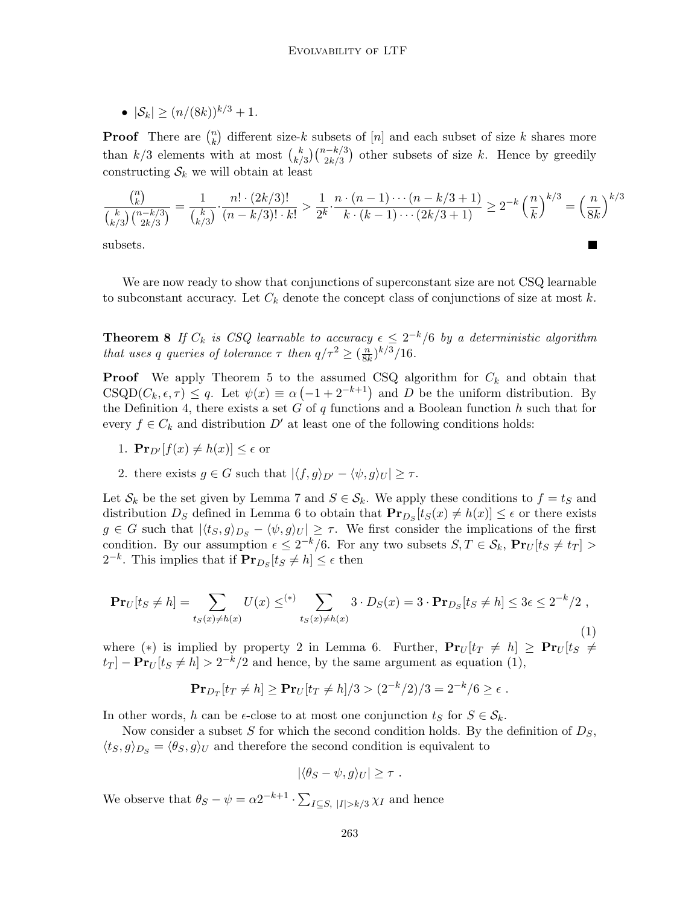•  $|S_k| > (n/(8k))^{k/3} + 1$ .

**Proof** There are  $\binom{n}{k}$  $\binom{n}{k}$  different size-k subsets of  $[n]$  and each subset of size k shares more than  $k/3$  elements with at most  $\binom{k}{k}$  $\binom{k}{k/3}\binom{n-k/3}{2k/3}$  other subsets of size k. Hence by greedily constructing  $S_k$  we will obtain at least

$$
\frac{\binom{n}{k}}{\binom{k}{k/3}\binom{n-k/3}{2k/3}} = \frac{1}{\binom{k}{k/3}} \cdot \frac{n! \cdot (2k/3)!}{(n-k/3)! \cdot k!} > \frac{1}{2^k} \cdot \frac{n \cdot (n-1) \cdots (n-k/3+1)}{k \cdot (k-1) \cdots (2k/3+1)} \ge 2^{-k} \left(\frac{n}{k}\right)^{k/3} = \left(\frac{n}{8k}\right)^{k/3}
$$

subsets.

<span id="page-10-1"></span>We are now ready to show that conjunctions of superconstant size are not CSQ learnable to subconstant accuracy. Let  $C_k$  denote the concept class of conjunctions of size at most k.

**Theorem 8** If  $C_k$  is CSQ learnable to accuracy  $\epsilon \leq 2^{-k}/6$  by a deterministic algorithm that uses q queries of tolerance  $\tau$  then  $q/\tau^2 \geq (\frac{n}{81})$  $\frac{n}{8k})^{k/3}/16$ .

**Proof** We apply Theorem [5](#page-8-1) to the assumed CSQ algorithm for  $C_k$  and obtain that  $\text{CSQD}(C_k, \epsilon, \tau) \leq q$ . Let  $\psi(x) \equiv \alpha \left( -1 + 2^{-k+1} \right)$  and D be the uniform distribution. By the Definition [4,](#page-8-0) there exists a set  $G$  of  $q$  functions and a Boolean function  $h$  such that for every  $f \in C_k$  and distribution D' at least one of the following conditions holds:

- 1.  $\mathbf{Pr}_{D'}[f(x) \neq h(x)] \leq \epsilon$  or
- 2. there exists  $g \in G$  such that  $|\langle f, g \rangle_{D'} \langle \psi, g \rangle_{U}| > \tau$ .

Let  $\mathcal{S}_k$  be the set given by Lemma [7](#page-9-0) and  $S \in \mathcal{S}_k$ . We apply these conditions to  $f = t_S$  and distribution  $D_S$  defined in Lemma [6](#page-9-1) to obtain that  $\mathbf{Pr}_{D_S}[t_S(x) \neq h(x)] \leq \epsilon$  or there exists  $g \in G$  such that  $|\langle t_S, g \rangle_{D_S} - \langle \psi, g \rangle_U| \geq \tau$ . We first consider the implications of the first condition. By our assumption  $\epsilon \leq 2^{-k}/6$ . For any two subsets  $S, T \in \mathcal{S}_k$ ,  $\mathbf{Pr}_U[t_S \neq t_T] >$  $2^{-k}$ . This implies that if  $\mathbf{Pr}_{D_S}[t_S \neq h] \leq \epsilon$  then

<span id="page-10-0"></span>
$$
\mathbf{Pr}_U[t_S \neq h] = \sum_{t_S(x) \neq h(x)} U(x) \leq^{\ast} \sum_{t_S(x) \neq h(x)} 3 \cdot D_S(x) = 3 \cdot \mathbf{Pr}_{D_S}[t_S \neq h] \leq 3\epsilon \leq 2^{-k}/2 ,
$$
\n(1)

where (\*) is implied by property 2 in Lemma [6.](#page-9-1) Further,  $Pr_U[t_T \neq h] \geq Pr_U[t_S \neq h]$  $t_T$ ] –  $Pr_U[t_S \neq h] > 2^{-k/2}$  and hence, by the same argument as equation [\(1\)](#page-10-0),

$$
\mathbf{Pr}_{D_T}[t_T \neq h] \ge \mathbf{Pr}_U[t_T \neq h]/3 > (2^{-k}/2)/3 = 2^{-k}/6 \ge \epsilon
$$
.

In other words, h can be  $\epsilon$ -close to at most one conjunction  $t_S$  for  $S \in \mathcal{S}_k$ .

Now consider a subset S for which the second condition holds. By the definition of  $D<sub>S</sub>$ ,  $\langle t_S, g \rangle_{D_S} = \langle \theta_S, g \rangle_U$  and therefore the second condition is equivalent to

$$
|\langle \theta_S - \psi, g \rangle_U| \geq \tau.
$$

We observe that  $\theta_S - \psi = \alpha 2^{-k+1} \cdot \sum_{I \subseteq S, |I| > k/3} \chi_I$  and hence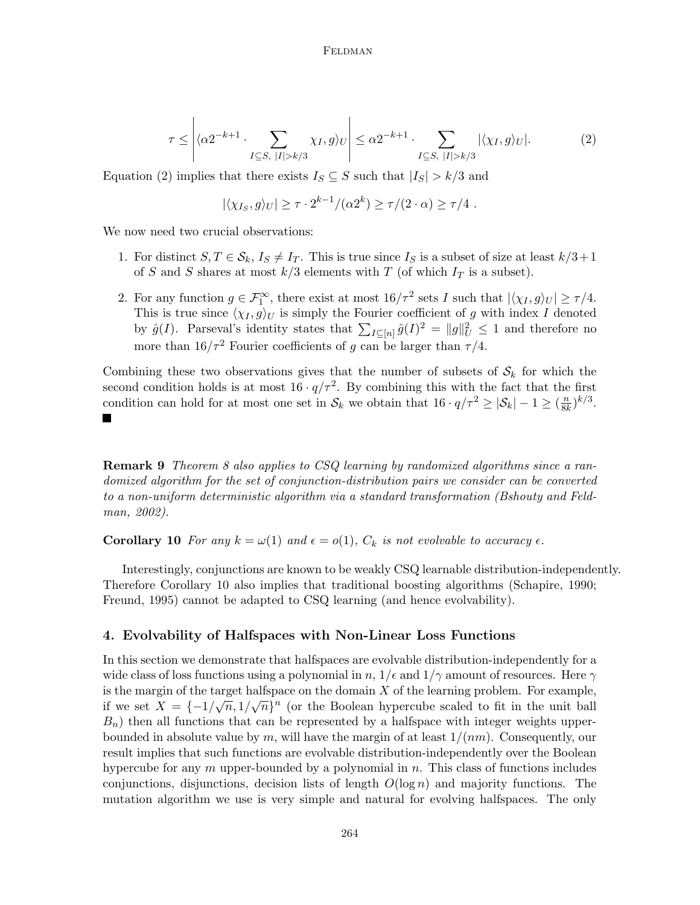<span id="page-11-1"></span>
$$
\tau \leq \left| \langle \alpha 2^{-k+1} \cdot \sum_{I \subseteq S, \ |I| > k/3} \chi_I, g \rangle_U \right| \leq \alpha 2^{-k+1} \cdot \sum_{I \subseteq S, \ |I| > k/3} |\langle \chi_I, g \rangle_U|. \tag{2}
$$

Equation [\(2\)](#page-11-1) implies that there exists  $I_S \subseteq S$  such that  $|I_S| > k/3$  and

$$
|\langle \chi_{I_S}, g \rangle_U| \geq \tau \cdot 2^{k-1}/(\alpha 2^k) \geq \tau/(2 \cdot \alpha) \geq \tau/4.
$$

We now need two crucial observations:

- 1. For distinct  $S, T \in \mathcal{S}_k, I_S \neq I_T$ . This is true since  $I_S$  is a subset of size at least  $k/3+1$ of S and S shares at most  $k/3$  elements with T (of which  $I_T$  is a subset).
- 2. For any function  $g \in \mathcal{F}_1^{\infty}$ , there exist at most  $16/\tau^2$  sets I such that  $|\langle \chi_I, g \rangle_U| \ge \tau/4$ . This is true since  $\langle \chi_I, g \rangle_U$  is simply the Fourier coefficient of g with index I denoted by  $\hat{g}(I)$ . Parseval's identity states that  $\sum_{I \subseteq [n]} \hat{g}(I)^2 = ||g||_U^2 \leq 1$  and therefore no more than  $16/\tau^2$  Fourier coefficients of g can be larger than  $\tau/4$ .

Combining these two observations gives that the number of subsets of  $S_k$  for which the second condition holds is at most  $16 \cdot q/\tau^2$ . By combining this with the fact that the first condition can hold for at most one set in  $\mathcal{S}_k$  we obtain that  $16 \cdot q/\tau^2 \geq |\mathcal{S}_k| - 1 \geq (\frac{n}{8k})$  $\frac{n}{8k})^{k/3}.$ 

**Remark 9** Theorem [8](#page-10-1) also applies to CSQ learning by randomized algorithms since a randomized algorithm for the set of conjunction-distribution pairs we consider can be converted to a non-uniform deterministic algorithm via a standard transformation [\(Bshouty and Feld](#page-17-2)[man, 2002\)](#page-17-2).

<span id="page-11-2"></span>**Corollary 10** For any  $k = \omega(1)$  and  $\epsilon = o(1)$ ,  $C_k$  is not evolvable to accuracy  $\epsilon$ .

Interestingly, conjunctions are known to be weakly CSQ learnable distribution-independently. Therefore Corollary [10](#page-11-2) also implies that traditional boosting algorithms [\(Schapire, 1990;](#page-19-7) [Freund, 1995\)](#page-18-11) cannot be adapted to CSQ learning (and hence evolvability).

#### <span id="page-11-0"></span>4. Evolvability of Halfspaces with Non-Linear Loss Functions

In this section we demonstrate that halfspaces are evolvable distribution-independently for a wide class of loss functions using a polynomial in n,  $1/\epsilon$  and  $1/\gamma$  amount of resources. Here  $\gamma$ is the margin of the target halfspace on the domain X of the learning problem. For example, if we set  $X = \{-1/\sqrt{n}, 1/\sqrt{n}\}^n$  (or the Boolean hypercube scaled to fit in the unit ball  $B_n$ ) then all functions that can be represented by a halfspace with integer weights upperbounded in absolute value by m, will have the margin of at least  $1/(nm)$ . Consequently, our result implies that such functions are evolvable distribution-independently over the Boolean hypercube for any  $m$  upper-bounded by a polynomial in  $n$ . This class of functions includes conjunctions, disjunctions, decision lists of length  $O(\log n)$  and majority functions. The mutation algorithm we use is very simple and natural for evolving halfspaces. The only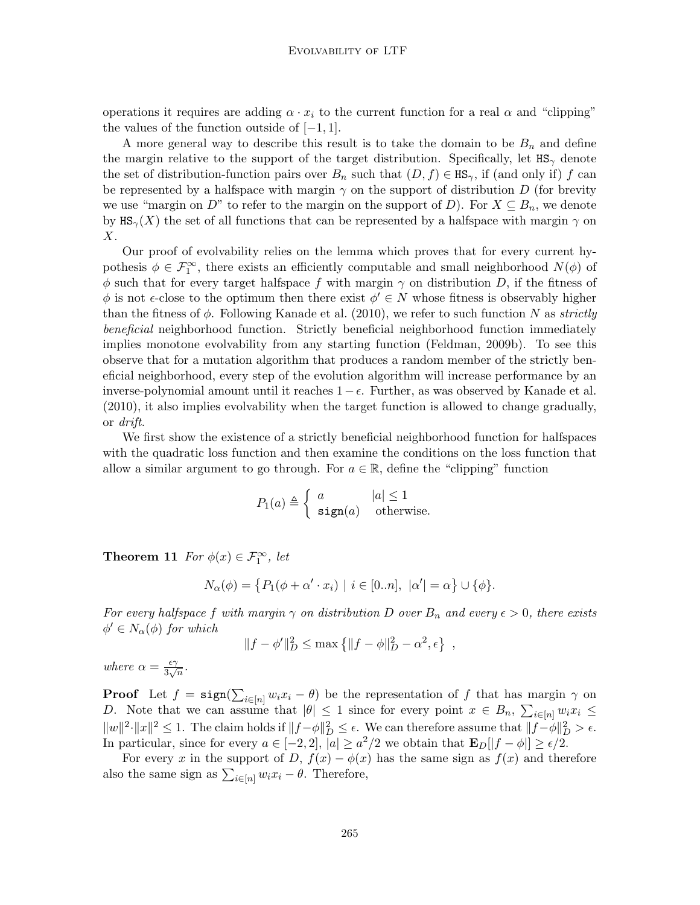operations it requires are adding  $\alpha \cdot x_i$  to the current function for a real  $\alpha$  and "clipping" the values of the function outside of  $[-1, 1]$ .

A more general way to describe this result is to take the domain to be  $B_n$  and define the margin relative to the support of the target distribution. Specifically, let  $\texttt{HS}_{\gamma}$  denote the set of distribution-function pairs over  $B_n$  such that  $(D, f) \in HS_\gamma$ , if (and only if) f can be represented by a halfspace with margin  $\gamma$  on the support of distribution D (for brevity we use "margin on D" to refer to the margin on the support of D). For  $X \subseteq B_n$ , we denote by  $\text{HS}_{\gamma}(X)$  the set of all functions that can be represented by a halfspace with margin  $\gamma$  on  $X$ .

Our proof of evolvability relies on the lemma which proves that for every current hypothesis  $\phi \in \mathcal{F}_1^{\infty}$ , there exists an efficiently computable and small neighborhood  $N(\phi)$  of  $\phi$  such that for every target halfspace f with margin  $\gamma$  on distribution D, if the fitness of  $\phi$  is not  $\epsilon$ -close to the optimum then there exist  $\phi' \in N$  whose fitness is observably higher than the fitness of  $\phi$ . Following [Kanade et al.](#page-18-2) [\(2010\)](#page-18-2), we refer to such function N as strictly beneficial neighborhood function. Strictly beneficial neighborhood function immediately implies monotone evolvability from any starting function [\(Feldman, 2009b\)](#page-18-1). To see this observe that for a mutation algorithm that produces a random member of the strictly beneficial neighborhood, every step of the evolution algorithm will increase performance by an inverse-polynomial amount until it reaches  $1 - \epsilon$ . Further, as was observed by [Kanade et al.](#page-18-2) [\(2010\)](#page-18-2), it also implies evolvability when the target function is allowed to change gradually, or drift.

We first show the existence of a strictly beneficial neighborhood function for halfspaces with the quadratic loss function and then examine the conditions on the loss function that allow a similar argument to go through. For  $a \in \mathbb{R}$ , define the "clipping" function

$$
P_1(a) \triangleq \begin{cases} a & |a| \le 1 \\ \text{sign}(a) & \text{otherwise.} \end{cases}
$$

<span id="page-12-0"></span>**Theorem 11** For  $\phi(x) \in \mathcal{F}_1^{\infty}$ , let

$$
N_{\alpha}(\phi) = \{ P_1(\phi + \alpha' \cdot x_i) \mid i \in [0..n], \ |\alpha'| = \alpha \} \cup \{\phi\}.
$$

For every halfspace f with margin  $\gamma$  on distribution D over  $B_n$  and every  $\epsilon > 0$ , there exists  $\phi' \in N_\alpha(\phi)$  for which

$$
||f - \phi'||_D^2 \le \max \{ ||f - \phi||_D^2 - \alpha^2, \epsilon \},
$$

where  $\alpha = \frac{\epsilon \gamma}{3}$  $rac{\epsilon \gamma}{3\sqrt{n}}$ .

**Proof** Let  $f = \text{sign}(\sum_{i \in [n]} w_i x_i - \theta)$  be the representation of f that has margin  $\gamma$  on D. Note that we can assume that  $|\theta| \leq 1$  since for every point  $x \in B_n$ ,  $\sum_{i \in [n]} w_i x_i \leq$  $||w||^2 \cdot ||x||^2 \leq 1$ . The claim holds if  $||f - \phi||_D^2 \leq \epsilon$ . We can therefore assume that  $||f - \phi||_D^2 > \epsilon$ . In particular, since for every  $a \in [-2,2], |a| \ge a^2/2$  we obtain that  $\mathbf{E}_D[|f - \phi|] \ge \epsilon/2$ .

For every x in the support of D,  $f(x) - \phi(x)$  has the same sign as  $f(x)$  and therefore also the same sign as  $\sum_{i \in [n]} w_i x_i - \theta$ . Therefore,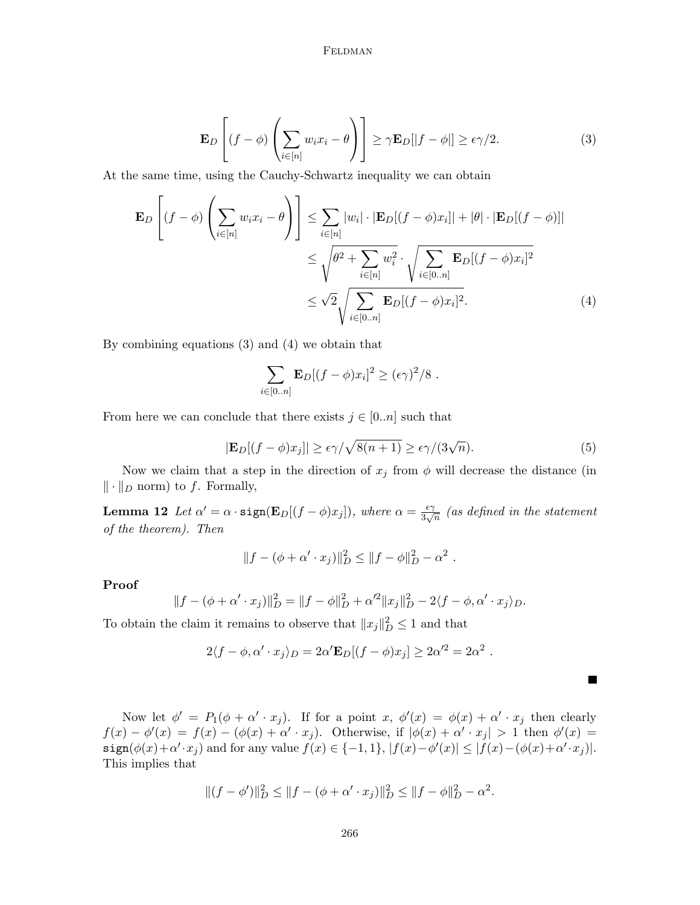<span id="page-13-0"></span>
$$
\mathbf{E}_D\left[(f-\phi)\left(\sum_{i\in[n]}w_ix_i-\theta\right)\right] \ge \gamma \mathbf{E}_D[|f-\phi|] \ge \epsilon \gamma/2.
$$
 (3)

At the same time, using the Cauchy-Schwartz inequality we can obtain

$$
\mathbf{E}_{D}\left[(f-\phi)\left(\sum_{i\in[n]}w_{i}x_{i}-\theta\right)\right] \leq \sum_{i\in[n]}|w_{i}|\cdot|\mathbf{E}_{D}[(f-\phi)x_{i}]|+|\theta|\cdot|\mathbf{E}_{D}[(f-\phi)]|
$$
  

$$
\leq \sqrt{\theta^{2}+\sum_{i\in[n]}w_{i}^{2}}\cdot\sqrt{\sum_{i\in[0..n]}\mathbf{E}_{D}[(f-\phi)x_{i}]^{2}}
$$
  

$$
\leq \sqrt{2}\sqrt{\sum_{i\in[0..n]}\mathbf{E}_{D}[(f-\phi)x_{i}]^{2}}.
$$
 (4)

By combining equations [\(3\)](#page-13-0) and [\(4\)](#page-13-1) we obtain that

<span id="page-13-1"></span>
$$
\sum_{i\in[0..n]} \mathbf{E}_D[(f-\phi)x_i]^2 \geq (\epsilon \gamma)^2/8.
$$

From here we can conclude that there exists  $j \in [0..n]$  such that

<span id="page-13-2"></span>
$$
|\mathbf{E}_D[(f-\phi)x_j]| \ge \epsilon \gamma / \sqrt{8(n+1)} \ge \epsilon \gamma / (3\sqrt{n}).\tag{5}
$$

Г

Now we claim that a step in the direction of  $x_j$  from  $\phi$  will decrease the distance (in  $\|\cdot\|_D$  norm) to f. Formally,

**Lemma 12** Let  $\alpha' = \alpha \cdot \text{sign}(\mathbf{E}_D[(f - \phi)x_j])$ , where  $\alpha = \frac{\epsilon \gamma}{3\alpha'}$  $rac{\epsilon \gamma}{3 \sqrt{n}}$  (as defined in the statement of the theorem). Then

$$
||f - (\phi + \alpha' \cdot x_j)||_D^2 \le ||f - \phi||_D^2 - \alpha^2.
$$

Proof

$$
||f - (\phi + \alpha' \cdot x_j)||_D^2 = ||f - \phi||_D^2 + \alpha'^2 ||x_j||_D^2 - 2\langle f - \phi, \alpha' \cdot x_j \rangle_D.
$$

To obtain the claim it remains to observe that  $||x_j||_D^2 \leq 1$  and that

$$
2\langle f - \phi, \alpha' \cdot x_j \rangle_D = 2\alpha' \mathbf{E}_D[(f - \phi)x_j] \ge 2\alpha'^2 = 2\alpha^2.
$$

Now let  $\phi' = P_1(\phi + \alpha' \cdot x_j)$ . If for a point  $x, \phi'(x) = \phi(x) + \alpha' \cdot x_j$  then clearly  $f(x) - \phi'(x) = f(x) - (\phi(x) + \alpha' \cdot x_j)$ . Otherwise, if  $|\phi(x) + \alpha' \cdot x_j| > 1$  then  $\phi'(x) =$  $\texttt{sign}(\phi(x)+\alpha' \cdot x_j)$  and for any value  $f(x) \in \{-1,1\}$ ,  $|f(x)-\phi'(x)| \leq |f(x)-(\phi(x)+\alpha' \cdot x_j)|$ . This implies that

$$
||(f - \phi')||_D^2 \le ||f - (\phi + \alpha' \cdot x_j)||_D^2 \le ||f - \phi||_D^2 - \alpha^2.
$$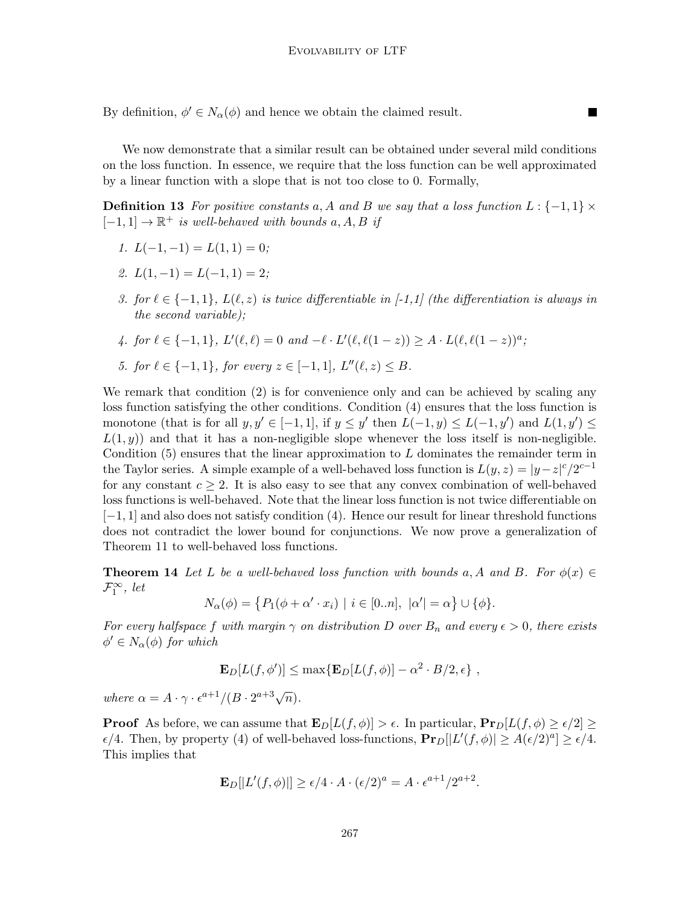By definition,  $\phi' \in N_\alpha(\phi)$  and hence we obtain the claimed result.

We now demonstrate that a similar result can be obtained under several mild conditions on the loss function. In essence, we require that the loss function can be well approximated by a linear function with a slope that is not too close to 0. Formally,

**The State** 

**Definition 13** For positive constants a, A and B we say that a loss function  $L: \{-1,1\} \times$  $[-1, 1] \rightarrow \mathbb{R}^+$  is well-behaved with bounds  $a, A, B$  if

- 1.  $L(-1,-1) = L(1,1) = 0;$
- 2.  $L(1,-1) = L(-1,1) = 2$ ;
- 3. for  $\ell \in \{-1, 1\}$ ,  $L(\ell, z)$  is twice differentiable in [-1,1] (the differentiation is always in the second variable);
- 4. for  $\ell \in \{-1, 1\}, L'(\ell, \ell) = 0$  and  $-\ell \cdot L'(\ell, \ell(1-z)) \geq A \cdot L(\ell, \ell(1-z))^a$ ;
- 5. for  $\ell \in \{-1, 1\}$ , for every  $z \in [-1, 1]$ ,  $L''(\ell, z) \leq B$ .

We remark that condition (2) is for convenience only and can be achieved by scaling any loss function satisfying the other conditions. Condition (4) ensures that the loss function is monotone (that is for all  $y, y' \in [-1, 1]$ , if  $y \le y'$  then  $L(-1, y) \le L(-1, y')$  and  $L(1, y') \le$  $L(1, y)$  and that it has a non-negligible slope whenever the loss itself is non-negligible. Condition  $(5)$  ensures that the linear approximation to L dominates the remainder term in the Taylor series. A simple example of a well-behaved loss function is  $L(y, z) = |y-z|^c/2^{c-1}$ for any constant  $c \geq 2$ . It is also easy to see that any convex combination of well-behaved loss functions is well-behaved. Note that the linear loss function is not twice differentiable on [−1, 1] and also does not satisfy condition (4). Hence our result for linear threshold functions does not contradict the lower bound for conjunctions. We now prove a generalization of Theorem [11](#page-12-0) to well-behaved loss functions.

**Theorem 14** Let L be a well-behaved loss function with bounds a, A and B. For  $\phi(x) \in$  $\mathcal{F}_1^{\infty}$ , let

<span id="page-14-0"></span>
$$
N_{\alpha}(\phi) = \{ P_1(\phi + \alpha' \cdot x_i) \mid i \in [0..n], \ |\alpha'| = \alpha \} \cup \{\phi\}.
$$

For every halfspace f with margin  $\gamma$  on distribution D over  $B_n$  and every  $\epsilon > 0$ , there exists  $\phi' \in N_\alpha(\phi)$  for which

$$
\mathbf{E}_D[L(f,\phi')] \le \max\{\mathbf{E}_D[L(f,\phi)] - \alpha^2 \cdot B/2, \epsilon\},\,
$$

where  $\alpha = A \cdot \gamma \cdot \epsilon^{a+1} / (B \cdot 2^{a+3} \sqrt{n}).$ 

**Proof** As before, we can assume that  $\mathbf{E}_D[L(f, \phi)] > \epsilon$ . In particular,  $\mathbf{Pr}_D[L(f, \phi) \geq \epsilon/2] \geq$  $\epsilon/4$ . Then, by property (4) of well-behaved loss-functions,  $\mathbf{Pr}_D[|L'(f,\phi)| \geq A(\epsilon/2)^a] \geq \epsilon/4$ . This implies that

$$
\mathbf{E}_D[|L'(f,\phi)|] \ge \epsilon/4 \cdot A \cdot (\epsilon/2)^a = A \cdot \epsilon^{a+1}/2^{a+2}.
$$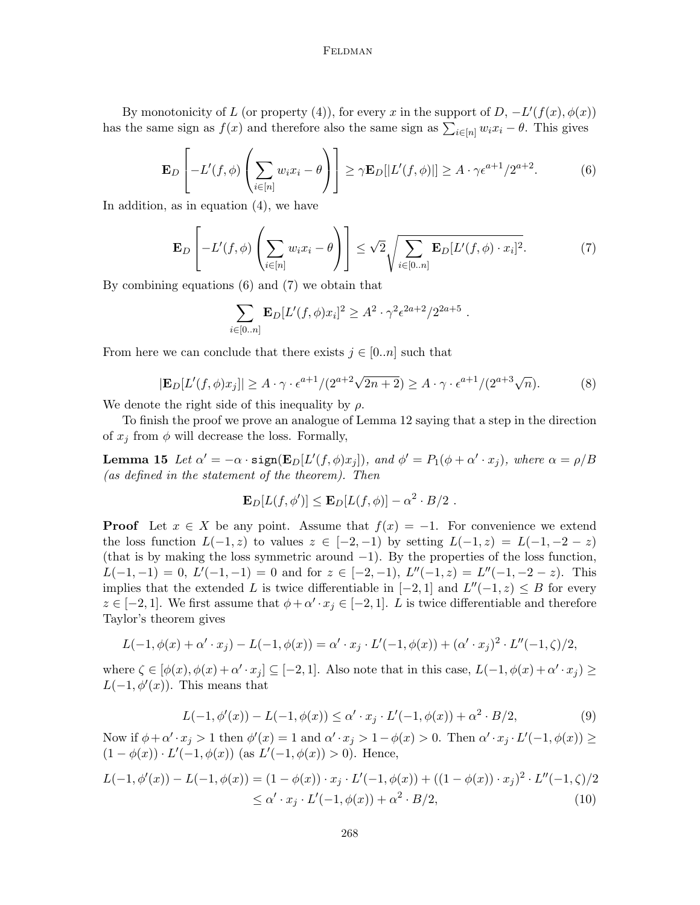By monotonicity of L (or property (4)), for every x in the support of  $D, -L'(f(x), \phi(x))$ has the same sign as  $f(x)$  and therefore also the same sign as  $\sum_{i\in[n]} w_i x_i - \theta$ . This gives

<span id="page-15-0"></span>
$$
\mathbf{E}_D\left[-L'(f,\phi)\left(\sum_{i\in[n]}w_ix_i-\theta\right)\right] \geq \gamma \mathbf{E}_D[|L'(f,\phi)|] \geq A \cdot \gamma \epsilon^{a+1}/2^{a+2}.\tag{6}
$$

In addition, as in equation [\(4\)](#page-13-1), we have

<span id="page-15-1"></span>
$$
\mathbf{E}_D\left[-L'(f,\phi)\left(\sum_{i\in[n]}w_ix_i-\theta\right)\right] \leq \sqrt{2}\sqrt{\sum_{i\in[0..n]}\mathbf{E}_D[L'(f,\phi)\cdot x_i]^2}.\tag{7}
$$

By combining equations [\(6\)](#page-15-0) and [\(7\)](#page-15-1) we obtain that

$$
\sum_{i \in [0..n]} \mathbf{E}_D[L'(f,\phi)x_i]^2 \ge A^2 \cdot \gamma^2 \epsilon^{2a+2} / 2^{2a+5} .
$$

From here we can conclude that there exists  $j \in [0..n]$  such that

$$
|\mathbf{E}_D[L'(f,\phi)x_j]| \ge A \cdot \gamma \cdot \epsilon^{a+1}/(2^{a+2}\sqrt{2n+2}) \ge A \cdot \gamma \cdot \epsilon^{a+1}/(2^{a+3}\sqrt{n}).\tag{8}
$$

We denote the right side of this inequality by  $\rho$ .

To finish the proof we prove an analogue of Lemma [12](#page-13-2) saying that a step in the direction of  $x_j$  from  $\phi$  will decrease the loss. Formally,

**Lemma 15** Let  $\alpha' = -\alpha \cdot \text{sign}(\mathbf{E}_D[L'(f,\phi)x_j])$ , and  $\phi' = P_1(\phi + \alpha' \cdot x_j)$ , where  $\alpha = \rho/B$ (as defined in the statement of the theorem). Then

$$
\mathbf{E}_D[L(f,\phi')] \leq \mathbf{E}_D[L(f,\phi)] - \alpha^2 \cdot B/2.
$$

**Proof** Let  $x \in X$  be any point. Assume that  $f(x) = -1$ . For convenience we extend the loss function  $L(-1, z)$  to values  $z \in [-2, -1)$  by setting  $L(-1, z) = L(-1, -2 - z)$ (that is by making the loss symmetric around  $-1$ ). By the properties of the loss function,  $L(-1,-1) = 0, L'(-1,-1) = 0$  and for  $z \in [-2,-1), L''(-1,z) = L''(-1,-2-z)$ . This implies that the extended L is twice differentiable in  $[-2, 1]$  and  $L''(-1, z) \leq B$  for every  $z \in [-2, 1]$ . We first assume that  $\phi + \alpha' \cdot x_j \in [-2, 1]$ . L is twice differentiable and therefore Taylor's theorem gives

$$
L(-1, \phi(x) + \alpha' \cdot x_j) - L(-1, \phi(x)) = \alpha' \cdot x_j \cdot L'(-1, \phi(x)) + (\alpha' \cdot x_j)^2 \cdot L''(-1, \zeta)/2,
$$

where  $\zeta \in [\phi(x), \phi(x) + \alpha' \cdot x_j] \subseteq [-2, 1]$ . Also note that in this case,  $L(-1, \phi(x) + \alpha' \cdot x_j) \ge$  $L(-1, \phi'(x))$ . This means that

<span id="page-15-3"></span><span id="page-15-2"></span>
$$
L(-1, \phi'(x)) - L(-1, \phi(x)) \le \alpha' \cdot x_j \cdot L'(-1, \phi(x)) + \alpha^2 \cdot B/2,
$$
\n(9)

Now if  $\phi + \alpha' \cdot x_j > 1$  then  $\phi'(x) = 1$  and  $\alpha' \cdot x_j > 1 - \phi(x) > 0$ . Then  $\alpha' \cdot x_j \cdot L'(-1, \phi(x)) \ge$  $(1 - \phi(x)) \cdot L'(-1, \phi(x))$  (as  $L'(-1, \phi(x)) > 0$ ). Hence,

$$
L(-1, \phi'(x)) - L(-1, \phi(x)) = (1 - \phi(x)) \cdot x_j \cdot L'(-1, \phi(x)) + ((1 - \phi(x)) \cdot x_j)^2 \cdot L''(-1, \zeta)/2
$$
  
 
$$
\leq \alpha' \cdot x_j \cdot L'(-1, \phi(x)) + \alpha^2 \cdot B/2,
$$
 (10)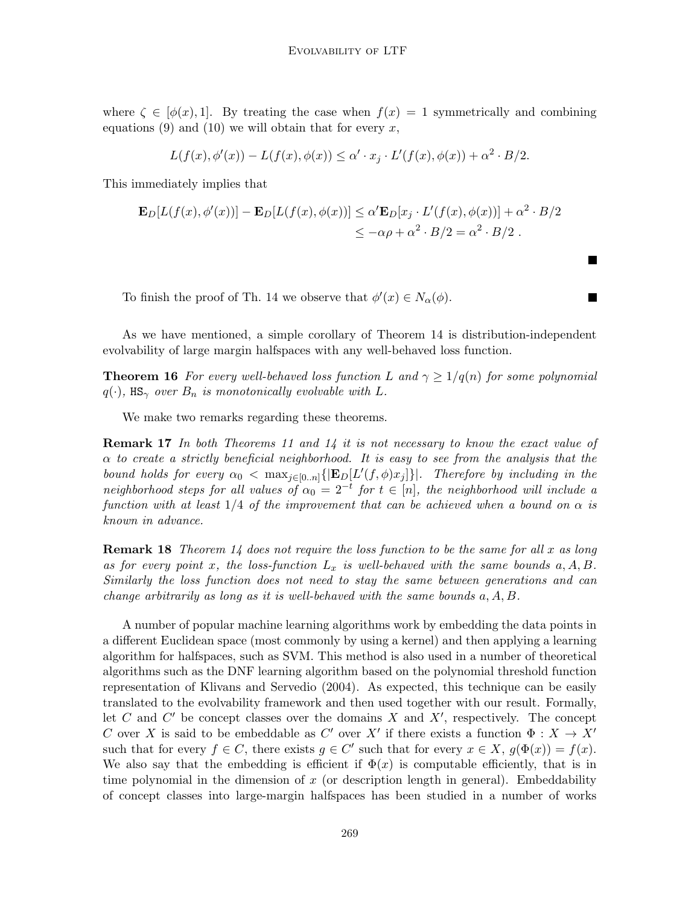where  $\zeta \in [\phi(x), 1]$ . By treating the case when  $f(x) = 1$  symmetrically and combining equations [\(9\)](#page-15-2) and [\(10\)](#page-15-3) we will obtain that for every x,

$$
L(f(x),\phi'(x)) - L(f(x),\phi(x)) \leq \alpha' \cdot x_j \cdot L'(f(x),\phi(x)) + \alpha^2 \cdot B/2.
$$

This immediately implies that

$$
\mathbf{E}_D[L(f(x), \phi'(x))] - \mathbf{E}_D[L(f(x), \phi(x))] \le \alpha' \mathbf{E}_D[x_j \cdot L'(f(x), \phi(x))] + \alpha^2 \cdot B/2
$$
  

$$
\le -\alpha \rho + \alpha^2 \cdot B/2 = \alpha^2 \cdot B/2.
$$

 $\blacksquare$ 

П

To finish the proof of Th. [14](#page-14-0) we observe that  $\phi'(x) \in N_{\alpha}(\phi)$ .

As we have mentioned, a simple corollary of Theorem [14](#page-14-0) is distribution-independent evolvability of large margin halfspaces with any well-behaved loss function.

**Theorem 16** For every well-behaved loss function L and  $\gamma \geq 1/q(n)$  for some polynomial  $q(\cdot)$ , HS<sub> $\gamma$ </sub> over  $B_n$  is monotonically evolvable with L.

We make two remarks regarding these theorems.

**Remark 17** In both Theorems [11](#page-12-0) and [14](#page-14-0) it is not necessary to know the exact value of  $\alpha$  to create a strictly beneficial neighborhood. It is easy to see from the analysis that the bound holds for every  $\alpha_0 < \max_{j \in [0..n]} \{ \mathbf{E}_D[L'(f,\phi)x_j] \}$ . Therefore by including in the neighborhood steps for all values of  $\alpha_0 = 2^{-t}$  for  $t \in [n]$ , the neighborhood will include a function with at least  $1/4$  of the improvement that can be achieved when a bound on  $\alpha$  is known in advance.

**Remark 18** Theorem [14](#page-14-0) does not require the loss function to be the same for all x as long as for every point x, the loss-function  $L_x$  is well-behaved with the same bounds  $a, A, B$ . Similarly the loss function does not need to stay the same between generations and can change arbitrarily as long as it is well-behaved with the same bounds a, A, B.

A number of popular machine learning algorithms work by embedding the data points in a different Euclidean space (most commonly by using a kernel) and then applying a learning algorithm for halfspaces, such as SVM. This method is also used in a number of theoretical algorithms such as the DNF learning algorithm based on the polynomial threshold function representation of [Klivans and Servedio](#page-18-12) [\(2004\)](#page-18-12). As expected, this technique can be easily translated to the evolvability framework and then used together with our result. Formally, let C and  $C'$  be concept classes over the domains X and  $X'$ , respectively. The concept C over X is said to be embeddable as C' over X' if there exists a function  $\Phi : X \to X'$ such that for every  $f \in C$ , there exists  $g \in C'$  such that for every  $x \in X$ ,  $g(\Phi(x)) = f(x)$ . We also say that the embedding is efficient if  $\Phi(x)$  is computable efficiently, that is in time polynomial in the dimension of  $x$  (or description length in general). Embeddability of concept classes into large-margin halfspaces has been studied in a number of works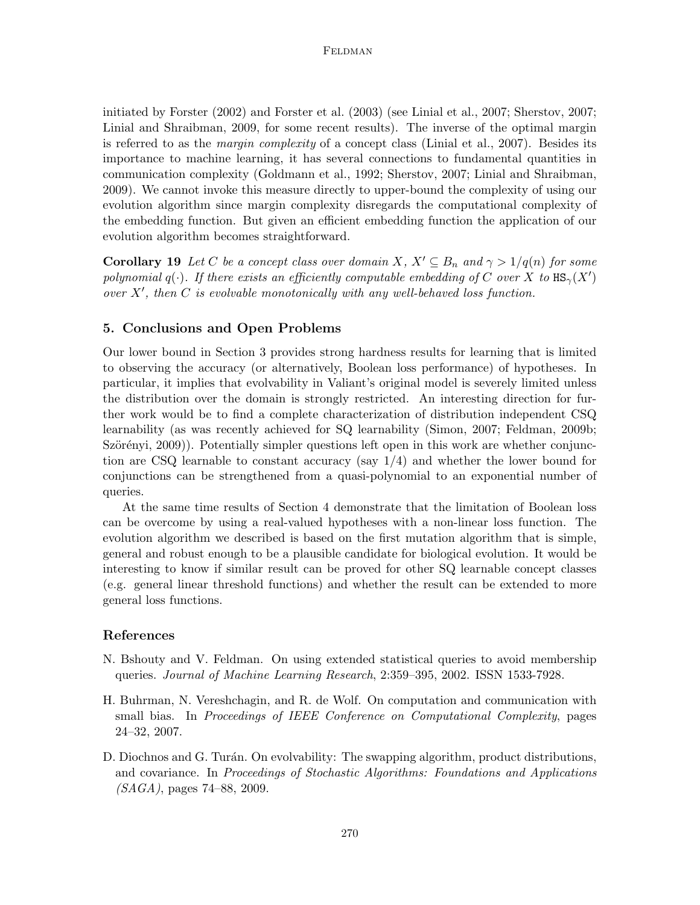initiated by [Forster](#page-18-13) [\(2002\)](#page-18-13) and [Forster et al.](#page-18-14) [\(2003\)](#page-18-14) (see [Linial et al., 2007;](#page-18-15) [Sherstov, 2007;](#page-19-5) [Linial and Shraibman, 2009,](#page-18-16) for some recent results). The inverse of the optimal margin is referred to as the *margin complexity* of a concept class [\(Linial et al., 2007\)](#page-18-15). Besides its importance to machine learning, it has several connections to fundamental quantities in communication complexity [\(Goldmann et al., 1992;](#page-18-17) [Sherstov, 2007;](#page-19-5) [Linial and Shraibman,](#page-18-16) [2009\)](#page-18-16). We cannot invoke this measure directly to upper-bound the complexity of using our evolution algorithm since margin complexity disregards the computational complexity of the embedding function. But given an efficient embedding function the application of our evolution algorithm becomes straightforward.

**Corollary 19** Let C be a concept class over domain X,  $X' \subseteq B_n$  and  $\gamma > 1/q(n)$  for some polynomial q( $\cdot$ ). If there exists an efficiently computable embedding of C over X to  $\text{HS}_{\gamma}(X')$ over  $X'$ , then C is evolvable monotonically with any well-behaved loss function.

### 5. Conclusions and Open Problems

Our lower bound in Section [3](#page-7-0) provides strong hardness results for learning that is limited to observing the accuracy (or alternatively, Boolean loss performance) of hypotheses. In particular, it implies that evolvability in Valiant's original model is severely limited unless the distribution over the domain is strongly restricted. An interesting direction for further work would be to find a complete characterization of distribution independent CSQ learnability (as was recently achieved for SQ learnability [\(Simon, 2007;](#page-19-8) [Feldman, 2009b;](#page-18-1) Szörényi, 2009). Potentially simpler questions left open in this work are whether conjunction are CSQ learnable to constant accuracy (say  $1/4$ ) and whether the lower bound for conjunctions can be strengthened from a quasi-polynomial to an exponential number of queries.

At the same time results of Section [4](#page-11-0) demonstrate that the limitation of Boolean loss can be overcome by using a real-valued hypotheses with a non-linear loss function. The evolution algorithm we described is based on the first mutation algorithm that is simple, general and robust enough to be a plausible candidate for biological evolution. It would be interesting to know if similar result can be proved for other SQ learnable concept classes (e.g. general linear threshold functions) and whether the result can be extended to more general loss functions.

# References

- <span id="page-17-2"></span>N. Bshouty and V. Feldman. On using extended statistical queries to avoid membership queries. Journal of Machine Learning Research, 2:359–395, 2002. ISSN 1533-7928.
- <span id="page-17-1"></span>H. Buhrman, N. Vereshchagin, and R. de Wolf. On computation and communication with small bias. In Proceedings of IEEE Conference on Computational Complexity, pages 24–32, 2007.
- <span id="page-17-0"></span>D. Diochnos and G. Turán. On evolvability: The swapping algorithm, product distributions, and covariance. In Proceedings of Stochastic Algorithms: Foundations and Applications  $(SAGA)$ , pages 74–88, 2009.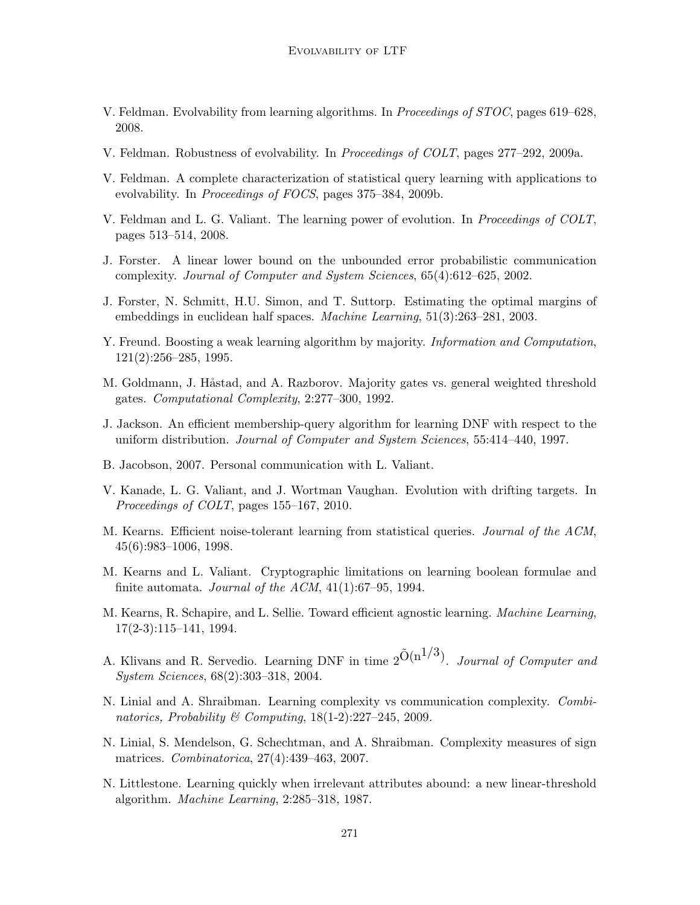- <span id="page-18-5"></span>V. Feldman. Evolvability from learning algorithms. In Proceedings of STOC, pages 619–628, 2008.
- <span id="page-18-6"></span>V. Feldman. Robustness of evolvability. In Proceedings of COLT, pages 277–292, 2009a.
- <span id="page-18-1"></span>V. Feldman. A complete characterization of statistical query learning with applications to evolvability. In Proceedings of FOCS, pages 375–384, 2009b.
- <span id="page-18-0"></span>V. Feldman and L. G. Valiant. The learning power of evolution. In *Proceedings of COLT*, pages 513–514, 2008.
- <span id="page-18-13"></span>J. Forster. A linear lower bound on the unbounded error probabilistic communication complexity. Journal of Computer and System Sciences, 65(4):612–625, 2002.
- <span id="page-18-14"></span>J. Forster, N. Schmitt, H.U. Simon, and T. Suttorp. Estimating the optimal margins of embeddings in euclidean half spaces. Machine Learning, 51(3):263–281, 2003.
- <span id="page-18-11"></span>Y. Freund. Boosting a weak learning algorithm by majority. *Information and Computation*, 121(2):256–285, 1995.
- <span id="page-18-17"></span>M. Goldmann, J. Håstad, and A. Razborov. Majority gates vs. general weighted threshold gates. Computational Complexity, 2:277–300, 1992.
- <span id="page-18-10"></span>J. Jackson. An efficient membership-query algorithm for learning DNF with respect to the uniform distribution. Journal of Computer and System Sciences, 55:414–440, 1997.
- <span id="page-18-3"></span>B. Jacobson, 2007. Personal communication with L. Valiant.
- <span id="page-18-2"></span>V. Kanade, L. G. Valiant, and J. Wortman Vaughan. Evolution with drifting targets. In Proceedings of COLT, pages 155–167, 2010.
- <span id="page-18-4"></span>M. Kearns. Efficient noise-tolerant learning from statistical queries. Journal of the ACM, 45(6):983–1006, 1998.
- <span id="page-18-9"></span>M. Kearns and L. Valiant. Cryptographic limitations on learning boolean formulae and finite automata. Journal of the ACM,  $41(1):67-95$ , 1994.
- <span id="page-18-8"></span>M. Kearns, R. Schapire, and L. Sellie. Toward efficient agnostic learning. Machine Learning, 17(2-3):115–141, 1994.
- <span id="page-18-12"></span>A. Klivans and R. Servedio. Learning DNF in time  $2^{\tilde{O}(n^{1/3})}$ . *Journal of Computer and* System Sciences, 68(2):303–318, 2004.
- <span id="page-18-16"></span>N. Linial and A. Shraibman. Learning complexity vs communication complexity. Combinatorics, Probability & Computing,  $18(1-2)$ :227-245, 2009.
- <span id="page-18-15"></span>N. Linial, S. Mendelson, G. Schechtman, and A. Shraibman. Complexity measures of sign matrices. Combinatorica, 27(4):439–463, 2007.
- <span id="page-18-7"></span>N. Littlestone. Learning quickly when irrelevant attributes abound: a new linear-threshold algorithm. Machine Learning, 2:285–318, 1987.